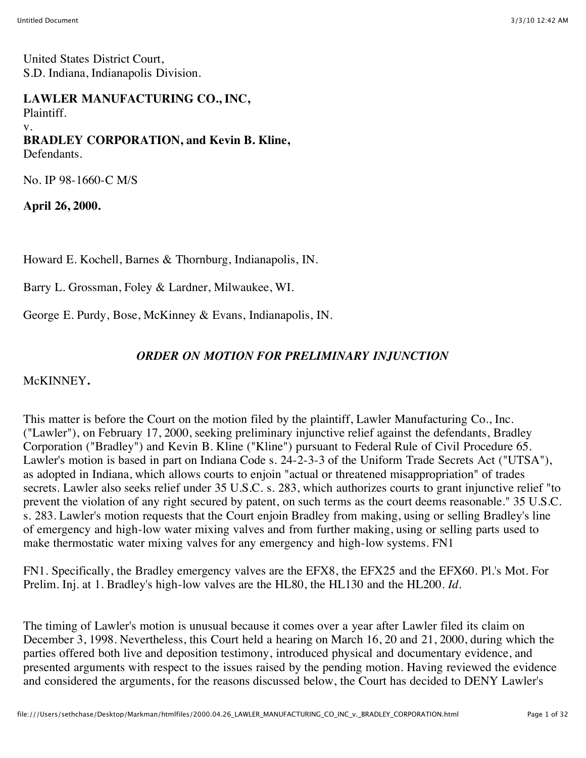United States District Court, S.D. Indiana, Indianapolis Division.

#### **LAWLER MANUFACTURING CO., INC,** Plaintiff.

v.

# **BRADLEY CORPORATION, and Kevin B. Kline,**

Defendants.

No. IP 98-1660-C M/S

**April 26, 2000.**

Howard E. Kochell, Barnes & Thornburg, Indianapolis, IN.

Barry L. Grossman, Foley & Lardner, Milwaukee, WI.

George E. Purdy, Bose, McKinney & Evans, Indianapolis, IN.

## *ORDER ON MOTION FOR PRELIMINARY INJUNCTION*

McKINNEY**.**

This matter is before the Court on the motion filed by the plaintiff, Lawler Manufacturing Co., Inc. ("Lawler"), on February 17, 2000, seeking preliminary injunctive relief against the defendants, Bradley Corporation ("Bradley") and Kevin B. Kline ("Kline") pursuant to Federal Rule of Civil Procedure 65. Lawler's motion is based in part on Indiana Code s. 24-2-3-3 of the Uniform Trade Secrets Act ("UTSA"), as adopted in Indiana, which allows courts to enjoin "actual or threatened misappropriation" of trades secrets. Lawler also seeks relief under 35 U.S.C. s. 283, which authorizes courts to grant injunctive relief "to prevent the violation of any right secured by patent, on such terms as the court deems reasonable." 35 U.S.C. s. 283. Lawler's motion requests that the Court enjoin Bradley from making, using or selling Bradley's line of emergency and high-low water mixing valves and from further making, using or selling parts used to make thermostatic water mixing valves for any emergency and high-low systems. FN1

FN1. Specifically, the Bradley emergency valves are the EFX8, the EFX25 and the EFX60. Pl.'s Mot. For Prelim. Inj. at 1. Bradley's high-low valves are the HL80, the HL130 and the HL200. *Id.*

The timing of Lawler's motion is unusual because it comes over a year after Lawler filed its claim on December 3, 1998. Nevertheless, this Court held a hearing on March 16, 20 and 21, 2000, during which the parties offered both live and deposition testimony, introduced physical and documentary evidence, and presented arguments with respect to the issues raised by the pending motion. Having reviewed the evidence and considered the arguments, for the reasons discussed below, the Court has decided to DENY Lawler's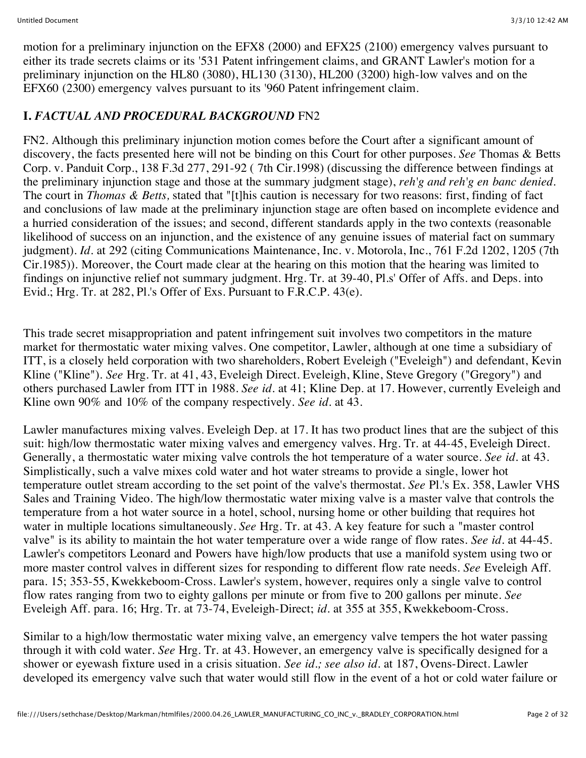motion for a preliminary injunction on the EFX8 (2000) and EFX25 (2100) emergency valves pursuant to either its trade secrets claims or its '531 Patent infringement claims, and GRANT Lawler's motion for a preliminary injunction on the HL80 (3080), HL130 (3130), HL200 (3200) high-low valves and on the EFX60 (2300) emergency valves pursuant to its '960 Patent infringement claim.

## **I.** *FACTUAL AND PROCEDURAL BACKGROUND* FN2

FN2. Although this preliminary injunction motion comes before the Court after a significant amount of discovery, the facts presented here will not be binding on this Court for other purposes. *See* Thomas & Betts Corp. v. Panduit Corp., 138 F.3d 277, 291-92 ( 7th Cir.1998) (discussing the difference between findings at the preliminary injunction stage and those at the summary judgment stage), *reh'g and reh'g en banc denied.* The court in *Thomas & Betts,* stated that "[t]his caution is necessary for two reasons: first, finding of fact and conclusions of law made at the preliminary injunction stage are often based on incomplete evidence and a hurried consideration of the issues; and second, different standards apply in the two contexts (reasonable likelihood of success on an injunction, and the existence of any genuine issues of material fact on summary judgment). *Id.* at 292 (citing Communications Maintenance, Inc. v. Motorola, Inc., 761 F.2d 1202, 1205 (7th Cir.1985)). Moreover, the Court made clear at the hearing on this motion that the hearing was limited to findings on injunctive relief not summary judgment. Hrg. Tr. at 39-40, Pl.s' Offer of Affs. and Deps. into Evid.; Hrg. Tr. at 282, Pl.'s Offer of Exs. Pursuant to F.R.C.P. 43(e).

This trade secret misappropriation and patent infringement suit involves two competitors in the mature market for thermostatic water mixing valves. One competitor, Lawler, although at one time a subsidiary of ITT, is a closely held corporation with two shareholders, Robert Eveleigh ("Eveleigh") and defendant, Kevin Kline ("Kline"). *See* Hrg. Tr. at 41, 43, Eveleigh Direct. Eveleigh, Kline, Steve Gregory ("Gregory") and others purchased Lawler from ITT in 1988. *See id.* at 41; Kline Dep. at 17. However, currently Eveleigh and Kline own 90% and 10% of the company respectively. *See id.* at 43.

Lawler manufactures mixing valves. Eveleigh Dep. at 17. It has two product lines that are the subject of this suit: high/low thermostatic water mixing valves and emergency valves. Hrg. Tr. at 44-45, Eveleigh Direct. Generally, a thermostatic water mixing valve controls the hot temperature of a water source. *See id.* at 43. Simplistically, such a valve mixes cold water and hot water streams to provide a single, lower hot temperature outlet stream according to the set point of the valve's thermostat. *See* Pl.'s Ex. 358, Lawler VHS Sales and Training Video. The high/low thermostatic water mixing valve is a master valve that controls the temperature from a hot water source in a hotel, school, nursing home or other building that requires hot water in multiple locations simultaneously. *See* Hrg. Tr. at 43. A key feature for such a "master control valve" is its ability to maintain the hot water temperature over a wide range of flow rates. *See id.* at 44-45. Lawler's competitors Leonard and Powers have high/low products that use a manifold system using two or more master control valves in different sizes for responding to different flow rate needs. *See* Eveleigh Aff. para. 15; 353-55, Kwekkeboom-Cross. Lawler's system, however, requires only a single valve to control flow rates ranging from two to eighty gallons per minute or from five to 200 gallons per minute. *See* Eveleigh Aff. para. 16; Hrg. Tr. at 73-74, Eveleigh-Direct; *id.* at 355 at 355, Kwekkeboom-Cross.

Similar to a high/low thermostatic water mixing valve, an emergency valve tempers the hot water passing through it with cold water. *See* Hrg. Tr. at 43. However, an emergency valve is specifically designed for a shower or eyewash fixture used in a crisis situation. *See id.; see also id.* at 187, Ovens-Direct. Lawler developed its emergency valve such that water would still flow in the event of a hot or cold water failure or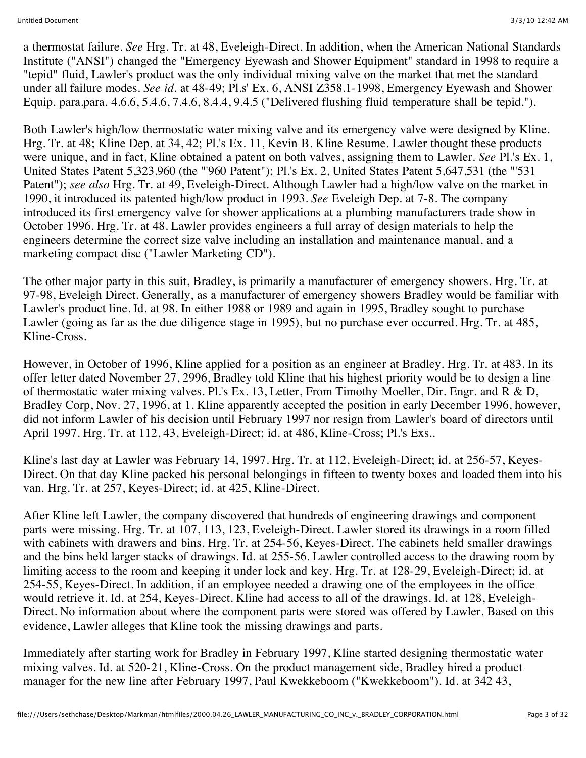a thermostat failure. *See* Hrg. Tr. at 48, Eveleigh-Direct. In addition, when the American National Standards Institute ("ANSI") changed the "Emergency Eyewash and Shower Equipment" standard in 1998 to require a "tepid" fluid, Lawler's product was the only individual mixing valve on the market that met the standard under all failure modes. *See id.* at 48-49; Pl.s' Ex. 6, ANSI Z358.1-1998, Emergency Eyewash and Shower Equip. para.para. 4.6.6, 5.4.6, 7.4.6, 8.4.4, 9.4.5 ("Delivered flushing fluid temperature shall be tepid.").

Both Lawler's high/low thermostatic water mixing valve and its emergency valve were designed by Kline. Hrg. Tr. at 48; Kline Dep. at 34, 42; Pl.'s Ex. 11, Kevin B. Kline Resume. Lawler thought these products were unique, and in fact, Kline obtained a patent on both valves, assigning them to Lawler. *See* Pl.'s Ex. 1, United States Patent 5,323,960 (the "'960 Patent"); Pl.'s Ex. 2, United States Patent 5,647,531 (the "'531 Patent"); *see also* Hrg. Tr. at 49, Eveleigh-Direct. Although Lawler had a high/low valve on the market in 1990, it introduced its patented high/low product in 1993. *See* Eveleigh Dep. at 7-8. The company introduced its first emergency valve for shower applications at a plumbing manufacturers trade show in October 1996. Hrg. Tr. at 48. Lawler provides engineers a full array of design materials to help the engineers determine the correct size valve including an installation and maintenance manual, and a marketing compact disc ("Lawler Marketing CD").

The other major party in this suit, Bradley, is primarily a manufacturer of emergency showers. Hrg. Tr. at 97-98, Eveleigh Direct. Generally, as a manufacturer of emergency showers Bradley would be familiar with Lawler's product line. Id. at 98. In either 1988 or 1989 and again in 1995, Bradley sought to purchase Lawler (going as far as the due diligence stage in 1995), but no purchase ever occurred. Hrg. Tr. at 485, Kline-Cross.

However, in October of 1996, Kline applied for a position as an engineer at Bradley. Hrg. Tr. at 483. In its offer letter dated November 27, 2996, Bradley told Kline that his highest priority would be to design a line of thermostatic water mixing valves. Pl.'s Ex. 13, Letter, From Timothy Moeller, Dir. Engr. and R & D, Bradley Corp, Nov. 27, 1996, at 1. Kline apparently accepted the position in early December 1996, however, did not inform Lawler of his decision until February 1997 nor resign from Lawler's board of directors until April 1997. Hrg. Tr. at 112, 43, Eveleigh-Direct; id. at 486, Kline-Cross; Pl.'s Exs..

Kline's last day at Lawler was February 14, 1997. Hrg. Tr. at 112, Eveleigh-Direct; id. at 256-57, Keyes-Direct. On that day Kline packed his personal belongings in fifteen to twenty boxes and loaded them into his van. Hrg. Tr. at 257, Keyes-Direct; id. at 425, Kline-Direct.

After Kline left Lawler, the company discovered that hundreds of engineering drawings and component parts were missing. Hrg. Tr. at 107, 113, 123, Eveleigh-Direct. Lawler stored its drawings in a room filled with cabinets with drawers and bins. Hrg. Tr. at 254-56, Keyes-Direct. The cabinets held smaller drawings and the bins held larger stacks of drawings. Id. at 255-56. Lawler controlled access to the drawing room by limiting access to the room and keeping it under lock and key. Hrg. Tr. at 128-29, Eveleigh-Direct; id. at 254-55, Keyes-Direct. In addition, if an employee needed a drawing one of the employees in the office would retrieve it. Id. at 254, Keyes-Direct. Kline had access to all of the drawings. Id. at 128, Eveleigh-Direct. No information about where the component parts were stored was offered by Lawler. Based on this evidence, Lawler alleges that Kline took the missing drawings and parts.

Immediately after starting work for Bradley in February 1997, Kline started designing thermostatic water mixing valves. Id. at 520-21, Kline-Cross. On the product management side, Bradley hired a product manager for the new line after February 1997, Paul Kwekkeboom ("Kwekkeboom"). Id. at 342 43,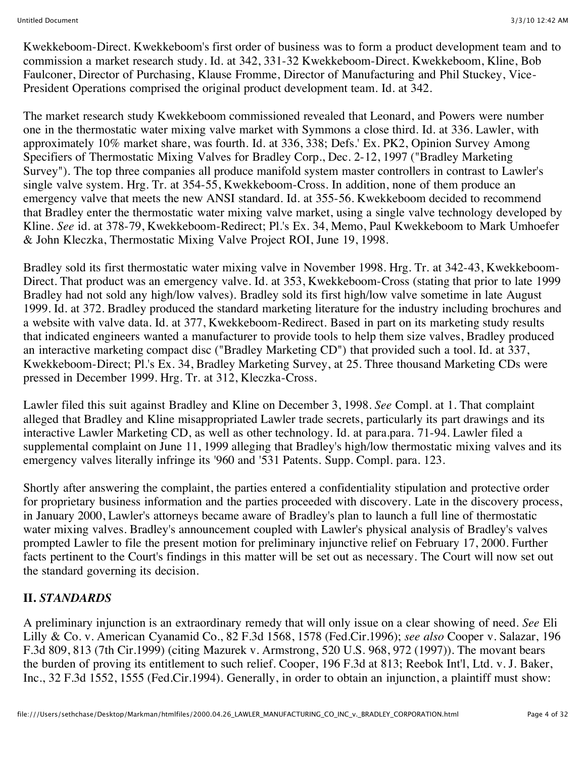Kwekkeboom-Direct. Kwekkeboom's first order of business was to form a product development team and to commission a market research study. Id. at 342, 331-32 Kwekkeboom-Direct. Kwekkeboom, Kline, Bob Faulconer, Director of Purchasing, Klause Fromme, Director of Manufacturing and Phil Stuckey, Vice-President Operations comprised the original product development team. Id. at 342.

The market research study Kwekkeboom commissioned revealed that Leonard, and Powers were number one in the thermostatic water mixing valve market with Symmons a close third. Id. at 336. Lawler, with approximately 10% market share, was fourth. Id. at 336, 338; Defs.' Ex. PK2, Opinion Survey Among Specifiers of Thermostatic Mixing Valves for Bradley Corp., Dec. 2-12, 1997 ("Bradley Marketing Survey"). The top three companies all produce manifold system master controllers in contrast to Lawler's single valve system. Hrg. Tr. at 354-55, Kwekkeboom-Cross. In addition, none of them produce an emergency valve that meets the new ANSI standard. Id. at 355-56. Kwekkeboom decided to recommend that Bradley enter the thermostatic water mixing valve market, using a single valve technology developed by Kline. *See* id. at 378-79, Kwekkeboom-Redirect; Pl.'s Ex. 34, Memo, Paul Kwekkeboom to Mark Umhoefer & John Kleczka, Thermostatic Mixing Valve Project ROI, June 19, 1998.

Bradley sold its first thermostatic water mixing valve in November 1998. Hrg. Tr. at 342-43, Kwekkeboom-Direct. That product was an emergency valve. Id. at 353, Kwekkeboom-Cross (stating that prior to late 1999 Bradley had not sold any high/low valves). Bradley sold its first high/low valve sometime in late August 1999. Id. at 372. Bradley produced the standard marketing literature for the industry including brochures and a website with valve data. Id. at 377, Kwekkeboom-Redirect. Based in part on its marketing study results that indicated engineers wanted a manufacturer to provide tools to help them size valves, Bradley produced an interactive marketing compact disc ("Bradley Marketing CD") that provided such a tool. Id. at 337, Kwekkeboom-Direct; Pl.'s Ex. 34, Bradley Marketing Survey, at 25. Three thousand Marketing CDs were pressed in December 1999. Hrg. Tr. at 312, Kleczka-Cross.

Lawler filed this suit against Bradley and Kline on December 3, 1998. *See* Compl. at 1. That complaint alleged that Bradley and Kline misappropriated Lawler trade secrets, particularly its part drawings and its interactive Lawler Marketing CD, as well as other technology. Id. at para.para. 71-94. Lawler filed a supplemental complaint on June 11, 1999 alleging that Bradley's high/low thermostatic mixing valves and its emergency valves literally infringe its '960 and '531 Patents. Supp. Compl. para. 123.

Shortly after answering the complaint, the parties entered a confidentiality stipulation and protective order for proprietary business information and the parties proceeded with discovery. Late in the discovery process, in January 2000, Lawler's attorneys became aware of Bradley's plan to launch a full line of thermostatic water mixing valves. Bradley's announcement coupled with Lawler's physical analysis of Bradley's valves prompted Lawler to file the present motion for preliminary injunctive relief on February 17, 2000. Further facts pertinent to the Court's findings in this matter will be set out as necessary. The Court will now set out the standard governing its decision.

## **II.** *STANDARDS*

A preliminary injunction is an extraordinary remedy that will only issue on a clear showing of need. *See* Eli Lilly & Co. v. American Cyanamid Co., 82 F.3d 1568, 1578 (Fed.Cir.1996); *see also* Cooper v. Salazar, 196 F.3d 809, 813 (7th Cir.1999) (citing Mazurek v. Armstrong, 520 U.S. 968, 972 (1997)). The movant bears the burden of proving its entitlement to such relief. Cooper, 196 F.3d at 813; Reebok Int'l, Ltd. v. J. Baker, Inc., 32 F.3d 1552, 1555 (Fed.Cir.1994). Generally, in order to obtain an injunction, a plaintiff must show: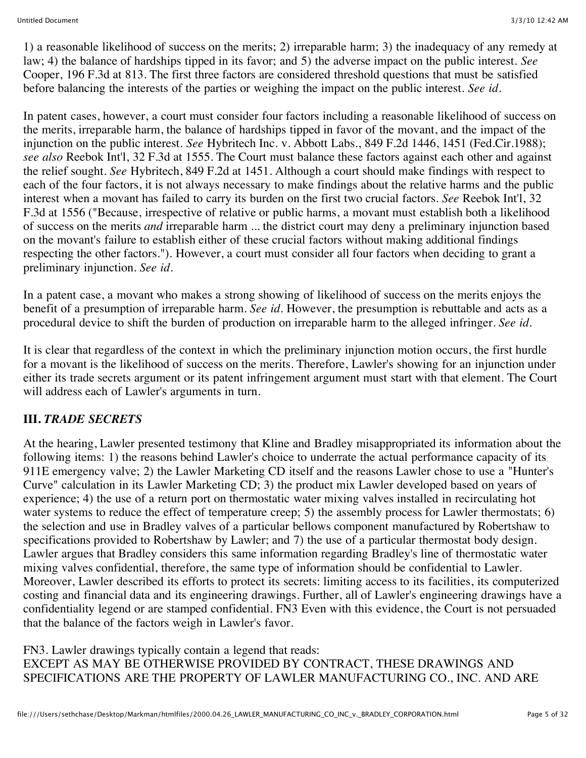1) a reasonable likelihood of success on the merits; 2) irreparable harm; 3) the inadequacy of any remedy at law; 4) the balance of hardships tipped in its favor; and 5) the adverse impact on the public interest. *See* Cooper, 196 F.3d at 813. The first three factors are considered threshold questions that must be satisfied before balancing the interests of the parties or weighing the impact on the public interest. *See id.*

In patent cases, however, a court must consider four factors including a reasonable likelihood of success on the merits, irreparable harm, the balance of hardships tipped in favor of the movant, and the impact of the injunction on the public interest. *See* Hybritech Inc. v. Abbott Labs., 849 F.2d 1446, 1451 (Fed.Cir.1988); *see also* Reebok Int'l, 32 F.3d at 1555. The Court must balance these factors against each other and against the relief sought. *See* Hybritech, 849 F.2d at 1451. Although a court should make findings with respect to each of the four factors, it is not always necessary to make findings about the relative harms and the public interest when a movant has failed to carry its burden on the first two crucial factors. *See* Reebok Int'l, 32 F.3d at 1556 ("Because, irrespective of relative or public harms, a movant must establish both a likelihood of success on the merits *and* irreparable harm ... the district court may deny a preliminary injunction based on the movant's failure to establish either of these crucial factors without making additional findings respecting the other factors."). However, a court must consider all four factors when deciding to grant a preliminary injunction. *See id.*

In a patent case, a movant who makes a strong showing of likelihood of success on the merits enjoys the benefit of a presumption of irreparable harm. *See id.* However, the presumption is rebuttable and acts as a procedural device to shift the burden of production on irreparable harm to the alleged infringer. *See id.*

It is clear that regardless of the context in which the preliminary injunction motion occurs, the first hurdle for a movant is the likelihood of success on the merits. Therefore, Lawler's showing for an injunction under either its trade secrets argument or its patent infringement argument must start with that element. The Court will address each of Lawler's arguments in turn.

## **III.** *TRADE SECRETS*

At the hearing, Lawler presented testimony that Kline and Bradley misappropriated its information about the following items: 1) the reasons behind Lawler's choice to underrate the actual performance capacity of its 911E emergency valve; 2) the Lawler Marketing CD itself and the reasons Lawler chose to use a "Hunter's Curve" calculation in its Lawler Marketing CD; 3) the product mix Lawler developed based on years of experience; 4) the use of a return port on thermostatic water mixing valves installed in recirculating hot water systems to reduce the effect of temperature creep; 5) the assembly process for Lawler thermostats; 6) the selection and use in Bradley valves of a particular bellows component manufactured by Robertshaw to specifications provided to Robertshaw by Lawler; and 7) the use of a particular thermostat body design. Lawler argues that Bradley considers this same information regarding Bradley's line of thermostatic water mixing valves confidential, therefore, the same type of information should be confidential to Lawler. Moreover, Lawler described its efforts to protect its secrets: limiting access to its facilities, its computerized costing and financial data and its engineering drawings. Further, all of Lawler's engineering drawings have a confidentiality legend or are stamped confidential. FN3 Even with this evidence, the Court is not persuaded that the balance of the factors weigh in Lawler's favor.

FN3. Lawler drawings typically contain a legend that reads: EXCEPT AS MAY BE OTHERWISE PROVIDED BY CONTRACT, THESE DRAWINGS AND SPECIFICATIONS ARE THE PROPERTY OF LAWLER MANUFACTURING CO., INC. AND ARE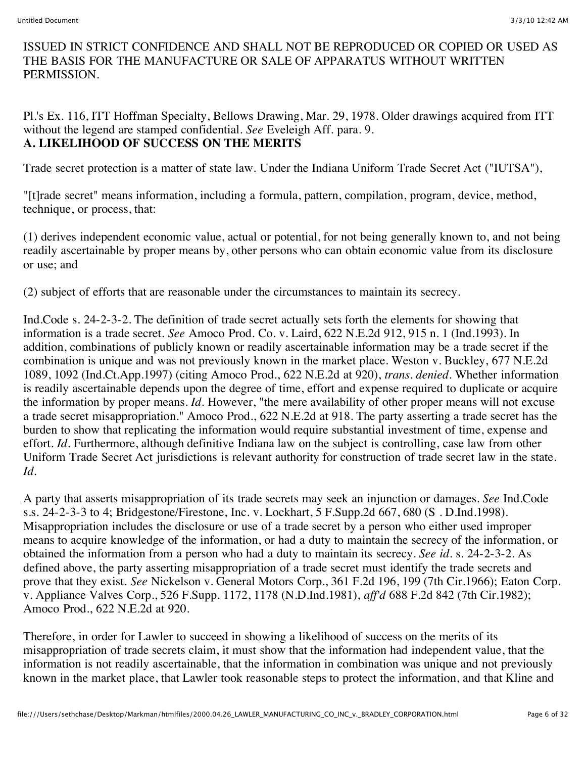#### ISSUED IN STRICT CONFIDENCE AND SHALL NOT BE REPRODUCED OR COPIED OR USED AS THE BASIS FOR THE MANUFACTURE OR SALE OF APPARATUS WITHOUT WRITTEN PERMISSION.

Pl.'s Ex. 116, ITT Hoffman Specialty, Bellows Drawing, Mar. 29, 1978. Older drawings acquired from ITT without the legend are stamped confidential. *See* Eveleigh Aff. para. 9. **A. LIKELIHOOD OF SUCCESS ON THE MERITS**

Trade secret protection is a matter of state law. Under the Indiana Uniform Trade Secret Act ("IUTSA"),

"[t]rade secret" means information, including a formula, pattern, compilation, program, device, method, technique, or process, that:

(1) derives independent economic value, actual or potential, for not being generally known to, and not being readily ascertainable by proper means by, other persons who can obtain economic value from its disclosure or use; and

(2) subject of efforts that are reasonable under the circumstances to maintain its secrecy.

Ind.Code s. 24-2-3-2. The definition of trade secret actually sets forth the elements for showing that information is a trade secret. *See* Amoco Prod. Co. v. Laird, 622 N.E.2d 912, 915 n. 1 (Ind.1993). In addition, combinations of publicly known or readily ascertainable information may be a trade secret if the combination is unique and was not previously known in the market place. Weston v. Buckley, 677 N.E.2d 1089, 1092 (Ind.Ct.App.1997) (citing Amoco Prod., 622 N.E.2d at 920), *trans. denied.* Whether information is readily ascertainable depends upon the degree of time, effort and expense required to duplicate or acquire the information by proper means. *Id.* However, "the mere availability of other proper means will not excuse a trade secret misappropriation." Amoco Prod., 622 N.E.2d at 918. The party asserting a trade secret has the burden to show that replicating the information would require substantial investment of time, expense and effort. *Id.* Furthermore, although definitive Indiana law on the subject is controlling, case law from other Uniform Trade Secret Act jurisdictions is relevant authority for construction of trade secret law in the state. *Id.*

A party that asserts misappropriation of its trade secrets may seek an injunction or damages. *See* Ind.Code s.s. 24-2-3-3 to 4; Bridgestone/Firestone, Inc. v. Lockhart, 5 F.Supp.2d 667, 680 (S . D.Ind.1998). Misappropriation includes the disclosure or use of a trade secret by a person who either used improper means to acquire knowledge of the information, or had a duty to maintain the secrecy of the information, or obtained the information from a person who had a duty to maintain its secrecy. *See id.* s. 24-2-3-2. As defined above, the party asserting misappropriation of a trade secret must identify the trade secrets and prove that they exist. *See* Nickelson v. General Motors Corp., 361 F.2d 196, 199 (7th Cir.1966); Eaton Corp. v. Appliance Valves Corp., 526 F.Supp. 1172, 1178 (N.D.Ind.1981), *aff'd* 688 F.2d 842 (7th Cir.1982); Amoco Prod., 622 N.E.2d at 920.

Therefore, in order for Lawler to succeed in showing a likelihood of success on the merits of its misappropriation of trade secrets claim, it must show that the information had independent value, that the information is not readily ascertainable, that the information in combination was unique and not previously known in the market place, that Lawler took reasonable steps to protect the information, and that Kline and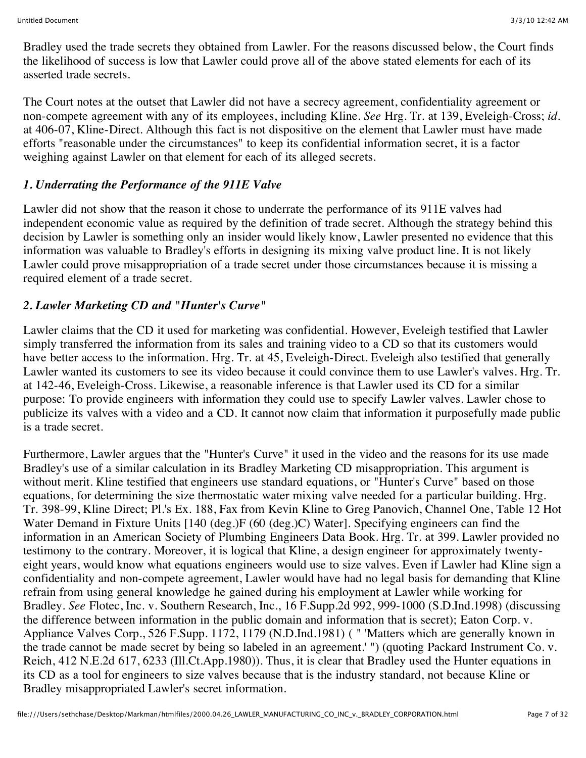Bradley used the trade secrets they obtained from Lawler. For the reasons discussed below, the Court finds the likelihood of success is low that Lawler could prove all of the above stated elements for each of its asserted trade secrets.

The Court notes at the outset that Lawler did not have a secrecy agreement, confidentiality agreement or non-compete agreement with any of its employees, including Kline. *See* Hrg. Tr. at 139, Eveleigh-Cross; *id.* at 406-07, Kline-Direct. Although this fact is not dispositive on the element that Lawler must have made efforts "reasonable under the circumstances" to keep its confidential information secret, it is a factor weighing against Lawler on that element for each of its alleged secrets.

## *1. Underrating the Performance of the 911E Valve*

Lawler did not show that the reason it chose to underrate the performance of its 911E valves had independent economic value as required by the definition of trade secret. Although the strategy behind this decision by Lawler is something only an insider would likely know, Lawler presented no evidence that this information was valuable to Bradley's efforts in designing its mixing valve product line. It is not likely Lawler could prove misappropriation of a trade secret under those circumstances because it is missing a required element of a trade secret.

## *2. Lawler Marketing CD and "Hunter's Curve"*

Lawler claims that the CD it used for marketing was confidential. However, Eveleigh testified that Lawler simply transferred the information from its sales and training video to a CD so that its customers would have better access to the information. Hrg. Tr. at 45, Eveleigh-Direct. Eveleigh also testified that generally Lawler wanted its customers to see its video because it could convince them to use Lawler's valves. Hrg. Tr. at 142-46, Eveleigh-Cross. Likewise, a reasonable inference is that Lawler used its CD for a similar purpose: To provide engineers with information they could use to specify Lawler valves. Lawler chose to publicize its valves with a video and a CD. It cannot now claim that information it purposefully made public is a trade secret.

Furthermore, Lawler argues that the "Hunter's Curve" it used in the video and the reasons for its use made Bradley's use of a similar calculation in its Bradley Marketing CD misappropriation. This argument is without merit. Kline testified that engineers use standard equations, or "Hunter's Curve" based on those equations, for determining the size thermostatic water mixing valve needed for a particular building. Hrg. Tr. 398-99, Kline Direct; Pl.'s Ex. 188, Fax from Kevin Kline to Greg Panovich, Channel One, Table 12 Hot Water Demand in Fixture Units [140 (deg.)F (60 (deg.)C) Water]. Specifying engineers can find the information in an American Society of Plumbing Engineers Data Book. Hrg. Tr. at 399. Lawler provided no testimony to the contrary. Moreover, it is logical that Kline, a design engineer for approximately twentyeight years, would know what equations engineers would use to size valves. Even if Lawler had Kline sign a confidentiality and non-compete agreement, Lawler would have had no legal basis for demanding that Kline refrain from using general knowledge he gained during his employment at Lawler while working for Bradley. *See* Flotec, Inc. v. Southern Research, Inc., 16 F.Supp.2d 992, 999-1000 (S.D.Ind.1998) (discussing the difference between information in the public domain and information that is secret); Eaton Corp. v. Appliance Valves Corp., 526 F.Supp. 1172, 1179 (N.D.Ind.1981) ( " 'Matters which are generally known in the trade cannot be made secret by being so labeled in an agreement.' ") (quoting Packard Instrument Co. v. Reich, 412 N.E.2d 617, 6233 (Ill.Ct.App.1980)). Thus, it is clear that Bradley used the Hunter equations in its CD as a tool for engineers to size valves because that is the industry standard, not because Kline or Bradley misappropriated Lawler's secret information.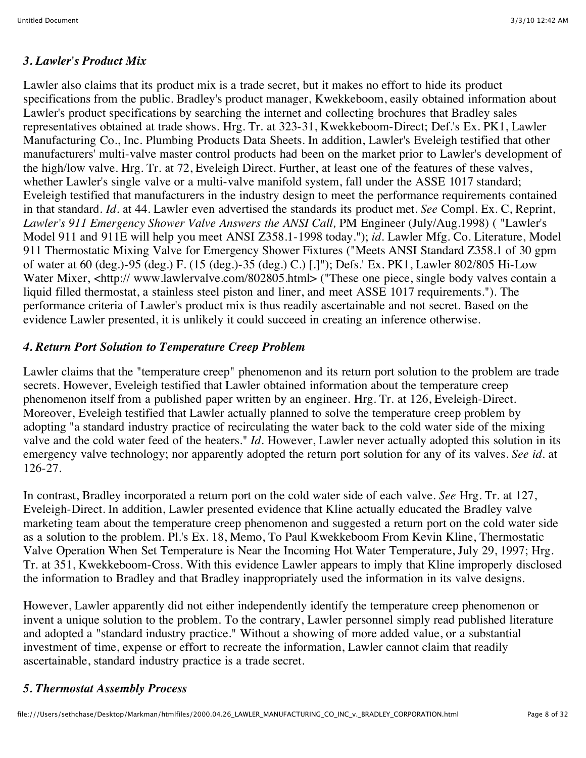#### *3. Lawler's Product Mix*

Lawler also claims that its product mix is a trade secret, but it makes no effort to hide its product specifications from the public. Bradley's product manager, Kwekkeboom, easily obtained information about Lawler's product specifications by searching the internet and collecting brochures that Bradley sales representatives obtained at trade shows. Hrg. Tr. at 323-31, Kwekkeboom-Direct; Def.'s Ex. PK1, Lawler Manufacturing Co., Inc. Plumbing Products Data Sheets. In addition, Lawler's Eveleigh testified that other manufacturers' multi-valve master control products had been on the market prior to Lawler's development of the high/low valve. Hrg. Tr. at 72, Eveleigh Direct. Further, at least one of the features of these valves, whether Lawler's single valve or a multi-valve manifold system, fall under the ASSE 1017 standard; Eveleigh testified that manufacturers in the industry design to meet the performance requirements contained in that standard. *Id.* at 44. Lawler even advertised the standards its product met. *See* Compl. Ex. C, Reprint, *Lawler's 911 Emergency Shower Valve Answers the ANSI Call,* PM Engineer (July/Aug.1998) ( "Lawler's Model 911 and 911E will help you meet ANSI Z358.1-1998 today."); *id.* Lawler Mfg. Co. Literature, Model 911 Thermostatic Mixing Valve for Emergency Shower Fixtures ("Meets ANSI Standard Z358.1 of 30 gpm of water at 60 (deg.)-95 (deg.) F. (15 (deg.)-35 (deg.) C.) [.]"); Defs.' Ex. PK1, Lawler 802/805 Hi-Low Water Mixer, <http:// www.lawlervalve.com/802805.html> ("These one piece, single body valves contain a liquid filled thermostat, a stainless steel piston and liner, and meet ASSE 1017 requirements."). The performance criteria of Lawler's product mix is thus readily ascertainable and not secret. Based on the evidence Lawler presented, it is unlikely it could succeed in creating an inference otherwise.

## *4. Return Port Solution to Temperature Creep Problem*

Lawler claims that the "temperature creep" phenomenon and its return port solution to the problem are trade secrets. However, Eveleigh testified that Lawler obtained information about the temperature creep phenomenon itself from a published paper written by an engineer. Hrg. Tr. at 126, Eveleigh-Direct. Moreover, Eveleigh testified that Lawler actually planned to solve the temperature creep problem by adopting "a standard industry practice of recirculating the water back to the cold water side of the mixing valve and the cold water feed of the heaters." *Id.* However, Lawler never actually adopted this solution in its emergency valve technology; nor apparently adopted the return port solution for any of its valves. *See id.* at 126-27.

In contrast, Bradley incorporated a return port on the cold water side of each valve. *See* Hrg. Tr. at 127, Eveleigh-Direct. In addition, Lawler presented evidence that Kline actually educated the Bradley valve marketing team about the temperature creep phenomenon and suggested a return port on the cold water side as a solution to the problem. Pl.'s Ex. 18, Memo, To Paul Kwekkeboom From Kevin Kline, Thermostatic Valve Operation When Set Temperature is Near the Incoming Hot Water Temperature, July 29, 1997; Hrg. Tr. at 351, Kwekkeboom-Cross. With this evidence Lawler appears to imply that Kline improperly disclosed the information to Bradley and that Bradley inappropriately used the information in its valve designs.

However, Lawler apparently did not either independently identify the temperature creep phenomenon or invent a unique solution to the problem. To the contrary, Lawler personnel simply read published literature and adopted a "standard industry practice." Without a showing of more added value, or a substantial investment of time, expense or effort to recreate the information, Lawler cannot claim that readily ascertainable, standard industry practice is a trade secret.

## *5. Thermostat Assembly Process*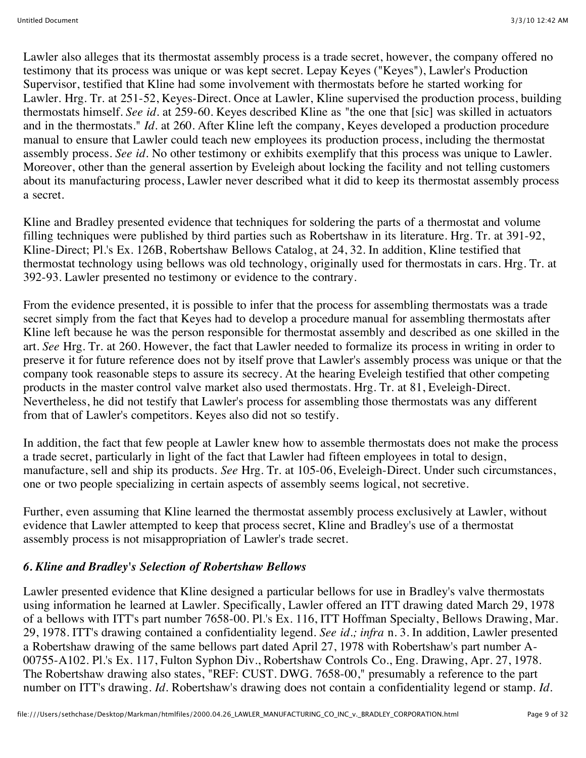Lawler also alleges that its thermostat assembly process is a trade secret, however, the company offered no testimony that its process was unique or was kept secret. Lepay Keyes ("Keyes"), Lawler's Production Supervisor, testified that Kline had some involvement with thermostats before he started working for Lawler. Hrg. Tr. at 251-52, Keyes-Direct. Once at Lawler, Kline supervised the production process, building thermostats himself. *See id.* at 259-60. Keyes described Kline as "the one that [sic] was skilled in actuators and in the thermostats." *Id.* at 260. After Kline left the company, Keyes developed a production procedure manual to ensure that Lawler could teach new employees its production process, including the thermostat assembly process. *See id.* No other testimony or exhibits exemplify that this process was unique to Lawler. Moreover, other than the general assertion by Eveleigh about locking the facility and not telling customers about its manufacturing process, Lawler never described what it did to keep its thermostat assembly process a secret.

Kline and Bradley presented evidence that techniques for soldering the parts of a thermostat and volume filling techniques were published by third parties such as Robertshaw in its literature. Hrg. Tr. at 391-92, Kline-Direct; Pl.'s Ex. 126B, Robertshaw Bellows Catalog, at 24, 32. In addition, Kline testified that thermostat technology using bellows was old technology, originally used for thermostats in cars. Hrg. Tr. at 392-93. Lawler presented no testimony or evidence to the contrary.

From the evidence presented, it is possible to infer that the process for assembling thermostats was a trade secret simply from the fact that Keyes had to develop a procedure manual for assembling thermostats after Kline left because he was the person responsible for thermostat assembly and described as one skilled in the art. *See* Hrg. Tr. at 260. However, the fact that Lawler needed to formalize its process in writing in order to preserve it for future reference does not by itself prove that Lawler's assembly process was unique or that the company took reasonable steps to assure its secrecy. At the hearing Eveleigh testified that other competing products in the master control valve market also used thermostats. Hrg. Tr. at 81, Eveleigh-Direct. Nevertheless, he did not testify that Lawler's process for assembling those thermostats was any different from that of Lawler's competitors. Keyes also did not so testify.

In addition, the fact that few people at Lawler knew how to assemble thermostats does not make the process a trade secret, particularly in light of the fact that Lawler had fifteen employees in total to design, manufacture, sell and ship its products. *See* Hrg. Tr. at 105-06, Eveleigh-Direct. Under such circumstances, one or two people specializing in certain aspects of assembly seems logical, not secretive.

Further, even assuming that Kline learned the thermostat assembly process exclusively at Lawler, without evidence that Lawler attempted to keep that process secret, Kline and Bradley's use of a thermostat assembly process is not misappropriation of Lawler's trade secret.

## *6. Kline and Bradley's Selection of Robertshaw Bellows*

Lawler presented evidence that Kline designed a particular bellows for use in Bradley's valve thermostats using information he learned at Lawler. Specifically, Lawler offered an ITT drawing dated March 29, 1978 of a bellows with ITT's part number 7658-00. Pl.'s Ex. 116, ITT Hoffman Specialty, Bellows Drawing, Mar. 29, 1978. ITT's drawing contained a confidentiality legend. *See id.; infra* n. 3. In addition, Lawler presented a Robertshaw drawing of the same bellows part dated April 27, 1978 with Robertshaw's part number A-00755-A102. Pl.'s Ex. 117, Fulton Syphon Div., Robertshaw Controls Co., Eng. Drawing, Apr. 27, 1978. The Robertshaw drawing also states, "REF: CUST. DWG. 7658-00," presumably a reference to the part number on ITT's drawing. *Id.* Robertshaw's drawing does not contain a confidentiality legend or stamp. *Id.*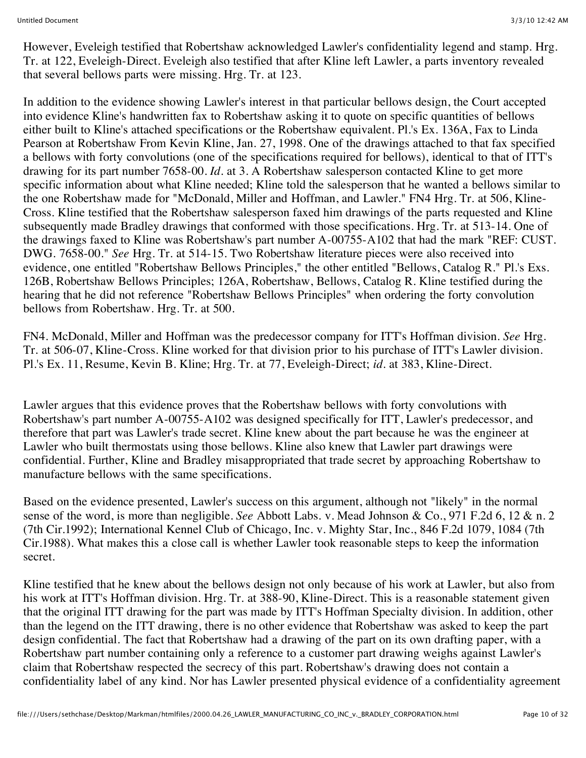However, Eveleigh testified that Robertshaw acknowledged Lawler's confidentiality legend and stamp. Hrg. Tr. at 122, Eveleigh-Direct. Eveleigh also testified that after Kline left Lawler, a parts inventory revealed that several bellows parts were missing. Hrg. Tr. at 123.

In addition to the evidence showing Lawler's interest in that particular bellows design, the Court accepted into evidence Kline's handwritten fax to Robertshaw asking it to quote on specific quantities of bellows either built to Kline's attached specifications or the Robertshaw equivalent. Pl.'s Ex. 136A, Fax to Linda Pearson at Robertshaw From Kevin Kline, Jan. 27, 1998. One of the drawings attached to that fax specified a bellows with forty convolutions (one of the specifications required for bellows), identical to that of ITT's drawing for its part number 7658-00. *Id.* at 3. A Robertshaw salesperson contacted Kline to get more specific information about what Kline needed; Kline told the salesperson that he wanted a bellows similar to the one Robertshaw made for "McDonald, Miller and Hoffman, and Lawler." FN4 Hrg. Tr. at 506, Kline-Cross. Kline testified that the Robertshaw salesperson faxed him drawings of the parts requested and Kline subsequently made Bradley drawings that conformed with those specifications. Hrg. Tr. at 513-14. One of the drawings faxed to Kline was Robertshaw's part number A-00755-A102 that had the mark "REF: CUST. DWG. 7658-00." *See* Hrg. Tr. at 514-15. Two Robertshaw literature pieces were also received into evidence, one entitled "Robertshaw Bellows Principles," the other entitled "Bellows, Catalog R." Pl.'s Exs. 126B, Robertshaw Bellows Principles; 126A, Robertshaw, Bellows, Catalog R. Kline testified during the hearing that he did not reference "Robertshaw Bellows Principles" when ordering the forty convolution bellows from Robertshaw. Hrg. Tr. at 500.

FN4. McDonald, Miller and Hoffman was the predecessor company for ITT's Hoffman division. *See* Hrg. Tr. at 506-07, Kline-Cross. Kline worked for that division prior to his purchase of ITT's Lawler division. Pl.'s Ex. 11, Resume, Kevin B. Kline; Hrg. Tr. at 77, Eveleigh-Direct; *id.* at 383, Kline-Direct.

Lawler argues that this evidence proves that the Robertshaw bellows with forty convolutions with Robertshaw's part number A-00755-A102 was designed specifically for ITT, Lawler's predecessor, and therefore that part was Lawler's trade secret. Kline knew about the part because he was the engineer at Lawler who built thermostats using those bellows. Kline also knew that Lawler part drawings were confidential. Further, Kline and Bradley misappropriated that trade secret by approaching Robertshaw to manufacture bellows with the same specifications.

Based on the evidence presented, Lawler's success on this argument, although not "likely" in the normal sense of the word, is more than negligible. *See* Abbott Labs. v. Mead Johnson & Co., 971 F.2d 6, 12 & n. 2 (7th Cir.1992); International Kennel Club of Chicago, Inc. v. Mighty Star, Inc., 846 F.2d 1079, 1084 (7th Cir.1988). What makes this a close call is whether Lawler took reasonable steps to keep the information secret.

Kline testified that he knew about the bellows design not only because of his work at Lawler, but also from his work at ITT's Hoffman division. Hrg. Tr. at 388-90, Kline-Direct. This is a reasonable statement given that the original ITT drawing for the part was made by ITT's Hoffman Specialty division. In addition, other than the legend on the ITT drawing, there is no other evidence that Robertshaw was asked to keep the part design confidential. The fact that Robertshaw had a drawing of the part on its own drafting paper, with a Robertshaw part number containing only a reference to a customer part drawing weighs against Lawler's claim that Robertshaw respected the secrecy of this part. Robertshaw's drawing does not contain a confidentiality label of any kind. Nor has Lawler presented physical evidence of a confidentiality agreement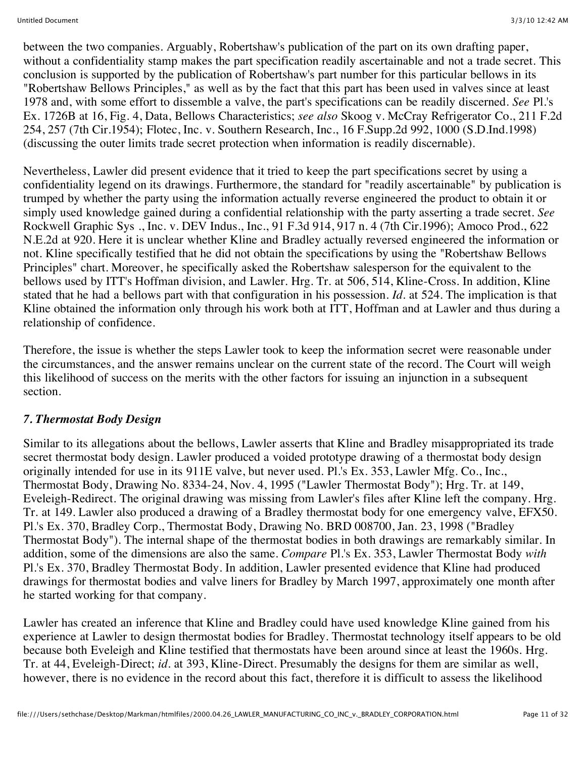between the two companies. Arguably, Robertshaw's publication of the part on its own drafting paper, without a confidentiality stamp makes the part specification readily ascertainable and not a trade secret. This conclusion is supported by the publication of Robertshaw's part number for this particular bellows in its "Robertshaw Bellows Principles," as well as by the fact that this part has been used in valves since at least 1978 and, with some effort to dissemble a valve, the part's specifications can be readily discerned. *See* Pl.'s Ex. 1726B at 16, Fig. 4, Data, Bellows Characteristics; *see also* Skoog v. McCray Refrigerator Co., 211 F.2d 254, 257 (7th Cir.1954); Flotec, Inc. v. Southern Research, Inc., 16 F.Supp.2d 992, 1000 (S.D.Ind.1998) (discussing the outer limits trade secret protection when information is readily discernable).

Nevertheless, Lawler did present evidence that it tried to keep the part specifications secret by using a confidentiality legend on its drawings. Furthermore, the standard for "readily ascertainable" by publication is trumped by whether the party using the information actually reverse engineered the product to obtain it or simply used knowledge gained during a confidential relationship with the party asserting a trade secret. *See* Rockwell Graphic Sys ., Inc. v. DEV Indus., Inc., 91 F.3d 914, 917 n. 4 (7th Cir.1996); Amoco Prod., 622 N.E.2d at 920. Here it is unclear whether Kline and Bradley actually reversed engineered the information or not. Kline specifically testified that he did not obtain the specifications by using the "Robertshaw Bellows Principles" chart. Moreover, he specifically asked the Robertshaw salesperson for the equivalent to the bellows used by ITT's Hoffman division, and Lawler. Hrg. Tr. at 506, 514, Kline-Cross. In addition, Kline stated that he had a bellows part with that configuration in his possession. *Id.* at 524. The implication is that Kline obtained the information only through his work both at ITT, Hoffman and at Lawler and thus during a relationship of confidence.

Therefore, the issue is whether the steps Lawler took to keep the information secret were reasonable under the circumstances, and the answer remains unclear on the current state of the record. The Court will weigh this likelihood of success on the merits with the other factors for issuing an injunction in a subsequent section.

## *7. Thermostat Body Design*

Similar to its allegations about the bellows, Lawler asserts that Kline and Bradley misappropriated its trade secret thermostat body design. Lawler produced a voided prototype drawing of a thermostat body design originally intended for use in its 911E valve, but never used. Pl.'s Ex. 353, Lawler Mfg. Co., Inc., Thermostat Body, Drawing No. 8334-24, Nov. 4, 1995 ("Lawler Thermostat Body"); Hrg. Tr. at 149, Eveleigh-Redirect. The original drawing was missing from Lawler's files after Kline left the company. Hrg. Tr. at 149. Lawler also produced a drawing of a Bradley thermostat body for one emergency valve, EFX50. Pl.'s Ex. 370, Bradley Corp., Thermostat Body, Drawing No. BRD 008700, Jan. 23, 1998 ("Bradley Thermostat Body"). The internal shape of the thermostat bodies in both drawings are remarkably similar. In addition, some of the dimensions are also the same. *Compare* Pl.'s Ex. 353, Lawler Thermostat Body *with* Pl.'s Ex. 370, Bradley Thermostat Body. In addition, Lawler presented evidence that Kline had produced drawings for thermostat bodies and valve liners for Bradley by March 1997, approximately one month after he started working for that company.

Lawler has created an inference that Kline and Bradley could have used knowledge Kline gained from his experience at Lawler to design thermostat bodies for Bradley. Thermostat technology itself appears to be old because both Eveleigh and Kline testified that thermostats have been around since at least the 1960s. Hrg. Tr. at 44, Eveleigh-Direct; *id.* at 393, Kline-Direct. Presumably the designs for them are similar as well, however, there is no evidence in the record about this fact, therefore it is difficult to assess the likelihood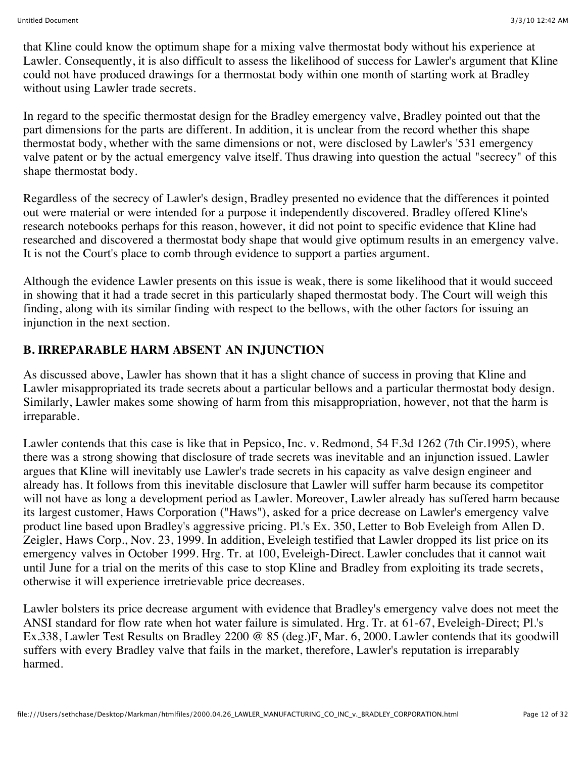that Kline could know the optimum shape for a mixing valve thermostat body without his experience at Lawler. Consequently, it is also difficult to assess the likelihood of success for Lawler's argument that Kline could not have produced drawings for a thermostat body within one month of starting work at Bradley without using Lawler trade secrets.

In regard to the specific thermostat design for the Bradley emergency valve, Bradley pointed out that the part dimensions for the parts are different. In addition, it is unclear from the record whether this shape thermostat body, whether with the same dimensions or not, were disclosed by Lawler's '531 emergency valve patent or by the actual emergency valve itself. Thus drawing into question the actual "secrecy" of this shape thermostat body.

Regardless of the secrecy of Lawler's design, Bradley presented no evidence that the differences it pointed out were material or were intended for a purpose it independently discovered. Bradley offered Kline's research notebooks perhaps for this reason, however, it did not point to specific evidence that Kline had researched and discovered a thermostat body shape that would give optimum results in an emergency valve. It is not the Court's place to comb through evidence to support a parties argument.

Although the evidence Lawler presents on this issue is weak, there is some likelihood that it would succeed in showing that it had a trade secret in this particularly shaped thermostat body. The Court will weigh this finding, along with its similar finding with respect to the bellows, with the other factors for issuing an injunction in the next section.

## **B. IRREPARABLE HARM ABSENT AN INJUNCTION**

As discussed above, Lawler has shown that it has a slight chance of success in proving that Kline and Lawler misappropriated its trade secrets about a particular bellows and a particular thermostat body design. Similarly, Lawler makes some showing of harm from this misappropriation, however, not that the harm is irreparable.

Lawler contends that this case is like that in Pepsico, Inc. v. Redmond, 54 F.3d 1262 (7th Cir.1995), where there was a strong showing that disclosure of trade secrets was inevitable and an injunction issued. Lawler argues that Kline will inevitably use Lawler's trade secrets in his capacity as valve design engineer and already has. It follows from this inevitable disclosure that Lawler will suffer harm because its competitor will not have as long a development period as Lawler. Moreover, Lawler already has suffered harm because its largest customer, Haws Corporation ("Haws"), asked for a price decrease on Lawler's emergency valve product line based upon Bradley's aggressive pricing. Pl.'s Ex. 350, Letter to Bob Eveleigh from Allen D. Zeigler, Haws Corp., Nov. 23, 1999. In addition, Eveleigh testified that Lawler dropped its list price on its emergency valves in October 1999. Hrg. Tr. at 100, Eveleigh-Direct. Lawler concludes that it cannot wait until June for a trial on the merits of this case to stop Kline and Bradley from exploiting its trade secrets, otherwise it will experience irretrievable price decreases.

Lawler bolsters its price decrease argument with evidence that Bradley's emergency valve does not meet the ANSI standard for flow rate when hot water failure is simulated. Hrg. Tr. at 61-67, Eveleigh-Direct; Pl.'s Ex.338, Lawler Test Results on Bradley 2200 @ 85 (deg.)F, Mar. 6, 2000. Lawler contends that its goodwill suffers with every Bradley valve that fails in the market, therefore, Lawler's reputation is irreparably harmed.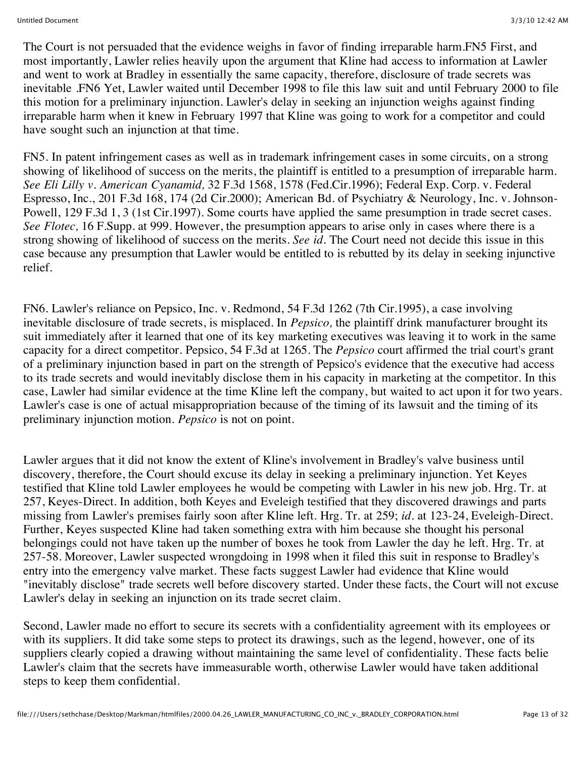The Court is not persuaded that the evidence weighs in favor of finding irreparable harm.FN5 First, and most importantly, Lawler relies heavily upon the argument that Kline had access to information at Lawler and went to work at Bradley in essentially the same capacity, therefore, disclosure of trade secrets was inevitable .FN6 Yet, Lawler waited until December 1998 to file this law suit and until February 2000 to file this motion for a preliminary injunction. Lawler's delay in seeking an injunction weighs against finding irreparable harm when it knew in February 1997 that Kline was going to work for a competitor and could have sought such an injunction at that time.

FN5. In patent infringement cases as well as in trademark infringement cases in some circuits, on a strong showing of likelihood of success on the merits, the plaintiff is entitled to a presumption of irreparable harm. *See Eli Lilly v. American Cyanamid,* 32 F.3d 1568, 1578 (Fed.Cir.1996); Federal Exp. Corp. v. Federal Espresso, Inc., 201 F.3d 168, 174 (2d Cir.2000); American Bd. of Psychiatry & Neurology, Inc. v. Johnson-Powell, 129 F.3d 1, 3 (1st Cir.1997). Some courts have applied the same presumption in trade secret cases. *See Flotec,* 16 F.Supp. at 999. However, the presumption appears to arise only in cases where there is a strong showing of likelihood of success on the merits. *See id.* The Court need not decide this issue in this case because any presumption that Lawler would be entitled to is rebutted by its delay in seeking injunctive relief.

FN6. Lawler's reliance on Pepsico, Inc. v. Redmond, 54 F.3d 1262 (7th Cir.1995), a case involving inevitable disclosure of trade secrets, is misplaced. In *Pepsico,* the plaintiff drink manufacturer brought its suit immediately after it learned that one of its key marketing executives was leaving it to work in the same capacity for a direct competitor. Pepsico, 54 F.3d at 1265. The *Pepsico* court affirmed the trial court's grant of a preliminary injunction based in part on the strength of Pepsico's evidence that the executive had access to its trade secrets and would inevitably disclose them in his capacity in marketing at the competitor. In this case, Lawler had similar evidence at the time Kline left the company, but waited to act upon it for two years. Lawler's case is one of actual misappropriation because of the timing of its lawsuit and the timing of its preliminary injunction motion. *Pepsico* is not on point.

Lawler argues that it did not know the extent of Kline's involvement in Bradley's valve business until discovery, therefore, the Court should excuse its delay in seeking a preliminary injunction. Yet Keyes testified that Kline told Lawler employees he would be competing with Lawler in his new job. Hrg. Tr. at 257, Keyes-Direct. In addition, both Keyes and Eveleigh testified that they discovered drawings and parts missing from Lawler's premises fairly soon after Kline left. Hrg. Tr. at 259; *id.* at 123-24, Eveleigh-Direct. Further, Keyes suspected Kline had taken something extra with him because she thought his personal belongings could not have taken up the number of boxes he took from Lawler the day he left. Hrg. Tr. at 257-58. Moreover, Lawler suspected wrongdoing in 1998 when it filed this suit in response to Bradley's entry into the emergency valve market. These facts suggest Lawler had evidence that Kline would "inevitably disclose" trade secrets well before discovery started. Under these facts, the Court will not excuse Lawler's delay in seeking an injunction on its trade secret claim.

Second, Lawler made no effort to secure its secrets with a confidentiality agreement with its employees or with its suppliers. It did take some steps to protect its drawings, such as the legend, however, one of its suppliers clearly copied a drawing without maintaining the same level of confidentiality. These facts belie Lawler's claim that the secrets have immeasurable worth, otherwise Lawler would have taken additional steps to keep them confidential.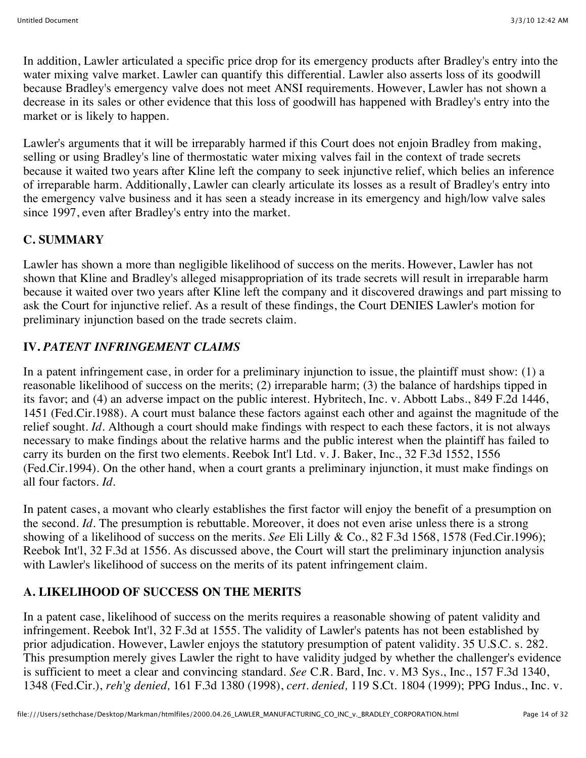In addition, Lawler articulated a specific price drop for its emergency products after Bradley's entry into the water mixing valve market. Lawler can quantify this differential. Lawler also asserts loss of its goodwill because Bradley's emergency valve does not meet ANSI requirements. However, Lawler has not shown a decrease in its sales or other evidence that this loss of goodwill has happened with Bradley's entry into the market or is likely to happen.

Lawler's arguments that it will be irreparably harmed if this Court does not enjoin Bradley from making, selling or using Bradley's line of thermostatic water mixing valves fail in the context of trade secrets because it waited two years after Kline left the company to seek injunctive relief, which belies an inference of irreparable harm. Additionally, Lawler can clearly articulate its losses as a result of Bradley's entry into the emergency valve business and it has seen a steady increase in its emergency and high/low valve sales since 1997, even after Bradley's entry into the market.

## **C. SUMMARY**

Lawler has shown a more than negligible likelihood of success on the merits. However, Lawler has not shown that Kline and Bradley's alleged misappropriation of its trade secrets will result in irreparable harm because it waited over two years after Kline left the company and it discovered drawings and part missing to ask the Court for injunctive relief. As a result of these findings, the Court DENIES Lawler's motion for preliminary injunction based on the trade secrets claim.

## **IV.** *PATENT INFRINGEMENT CLAIMS*

In a patent infringement case, in order for a preliminary injunction to issue, the plaintiff must show: (1) a reasonable likelihood of success on the merits; (2) irreparable harm; (3) the balance of hardships tipped in its favor; and (4) an adverse impact on the public interest. Hybritech, Inc. v. Abbott Labs., 849 F.2d 1446, 1451 (Fed.Cir.1988). A court must balance these factors against each other and against the magnitude of the relief sought. *Id.* Although a court should make findings with respect to each these factors, it is not always necessary to make findings about the relative harms and the public interest when the plaintiff has failed to carry its burden on the first two elements. Reebok Int'l Ltd. v. J. Baker, Inc., 32 F.3d 1552, 1556 (Fed.Cir.1994). On the other hand, when a court grants a preliminary injunction, it must make findings on all four factors. *Id.*

In patent cases, a movant who clearly establishes the first factor will enjoy the benefit of a presumption on the second. *Id.* The presumption is rebuttable. Moreover, it does not even arise unless there is a strong showing of a likelihood of success on the merits. *See* Eli Lilly & Co., 82 F.3d 1568, 1578 (Fed.Cir.1996); Reebok Int'l, 32 F.3d at 1556. As discussed above, the Court will start the preliminary injunction analysis with Lawler's likelihood of success on the merits of its patent infringement claim.

## **A. LIKELIHOOD OF SUCCESS ON THE MERITS**

In a patent case, likelihood of success on the merits requires a reasonable showing of patent validity and infringement. Reebok Int'l, 32 F.3d at 1555. The validity of Lawler's patents has not been established by prior adjudication. However, Lawler enjoys the statutory presumption of patent validity. 35 U.S.C. s. 282. This presumption merely gives Lawler the right to have validity judged by whether the challenger's evidence is sufficient to meet a clear and convincing standard. *See* C.R. Bard, Inc. v. M3 Sys., Inc., 157 F.3d 1340, 1348 (Fed.Cir.), *reh'g denied,* 161 F.3d 1380 (1998), *cert. denied,* 119 S.Ct. 1804 (1999); PPG Indus., Inc. v.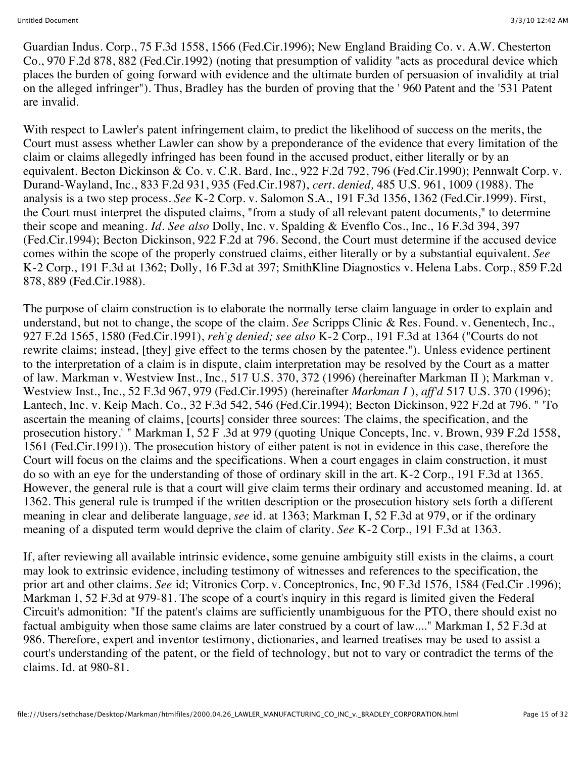Guardian Indus. Corp., 75 F.3d 1558, 1566 (Fed.Cir.1996); New England Braiding Co. v. A.W. Chesterton Co., 970 F.2d 878, 882 (Fed.Cir.1992) (noting that presumption of validity "acts as procedural device which places the burden of going forward with evidence and the ultimate burden of persuasion of invalidity at trial on the alleged infringer"). Thus, Bradley has the burden of proving that the ' 960 Patent and the '531 Patent are invalid.

With respect to Lawler's patent infringement claim, to predict the likelihood of success on the merits, the Court must assess whether Lawler can show by a preponderance of the evidence that every limitation of the claim or claims allegedly infringed has been found in the accused product, either literally or by an equivalent. Becton Dickinson & Co. v. C.R. Bard, Inc., 922 F.2d 792, 796 (Fed.Cir.1990); Pennwalt Corp. v. Durand-Wayland, Inc., 833 F.2d 931, 935 (Fed.Cir.1987), *cert. denied,* 485 U.S. 961, 1009 (1988). The analysis is a two step process. *See* K-2 Corp. v. Salomon S.A., 191 F.3d 1356, 1362 (Fed.Cir.1999). First, the Court must interpret the disputed claims, "from a study of all relevant patent documents," to determine their scope and meaning. *Id. See also* Dolly, Inc. v. Spalding & Evenflo Cos., Inc., 16 F.3d 394, 397 (Fed.Cir.1994); Becton Dickinson, 922 F.2d at 796. Second, the Court must determine if the accused device comes within the scope of the properly construed claims, either literally or by a substantial equivalent. *See* K-2 Corp., 191 F.3d at 1362; Dolly, 16 F.3d at 397; SmithKline Diagnostics v. Helena Labs. Corp., 859 F.2d 878, 889 (Fed.Cir.1988).

The purpose of claim construction is to elaborate the normally terse claim language in order to explain and understand, but not to change, the scope of the claim. *See* Scripps Clinic & Res. Found. v. Genentech, Inc., 927 F.2d 1565, 1580 (Fed.Cir.1991), *reh'g denied; see also* K-2 Corp., 191 F.3d at 1364 ("Courts do not rewrite claims; instead, [they] give effect to the terms chosen by the patentee."). Unless evidence pertinent to the interpretation of a claim is in dispute, claim interpretation may be resolved by the Court as a matter of law. Markman v. Westview Inst., Inc., 517 U.S. 370, 372 (1996) (hereinafter Markman II ); Markman v. Westview Inst., Inc., 52 F.3d 967, 979 (Fed.Cir.1995) (hereinafter *Markman I* ), *aff'd* 517 U.S. 370 (1996); Lantech, Inc. v. Keip Mach. Co., 32 F.3d 542, 546 (Fed.Cir.1994); Becton Dickinson, 922 F.2d at 796. " 'To ascertain the meaning of claims, [courts] consider three sources: The claims, the specification, and the prosecution history.' " Markman I, 52 F .3d at 979 (quoting Unique Concepts, Inc. v. Brown, 939 F.2d 1558, 1561 (Fed.Cir.1991)). The prosecution history of either patent is not in evidence in this case, therefore the Court will focus on the claims and the specifications. When a court engages in claim construction, it must do so with an eye for the understanding of those of ordinary skill in the art. K-2 Corp., 191 F.3d at 1365. However, the general rule is that a court will give claim terms their ordinary and accustomed meaning. Id. at 1362. This general rule is trumped if the written description or the prosecution history sets forth a different meaning in clear and deliberate language, *see* id. at 1363; Markman I, 52 F.3d at 979, or if the ordinary meaning of a disputed term would deprive the claim of clarity. *See* K-2 Corp., 191 F.3d at 1363.

If, after reviewing all available intrinsic evidence, some genuine ambiguity still exists in the claims, a court may look to extrinsic evidence, including testimony of witnesses and references to the specification, the prior art and other claims. *See* id; Vitronics Corp. v. Conceptronics, Inc, 90 F.3d 1576, 1584 (Fed.Cir .1996); Markman I, 52 F.3d at 979-81. The scope of a court's inquiry in this regard is limited given the Federal Circuit's admonition: "If the patent's claims are sufficiently unambiguous for the PTO, there should exist no factual ambiguity when those same claims are later construed by a court of law...." Markman I, 52 F.3d at 986. Therefore, expert and inventor testimony, dictionaries, and learned treatises may be used to assist a court's understanding of the patent, or the field of technology, but not to vary or contradict the terms of the claims. Id. at 980-81.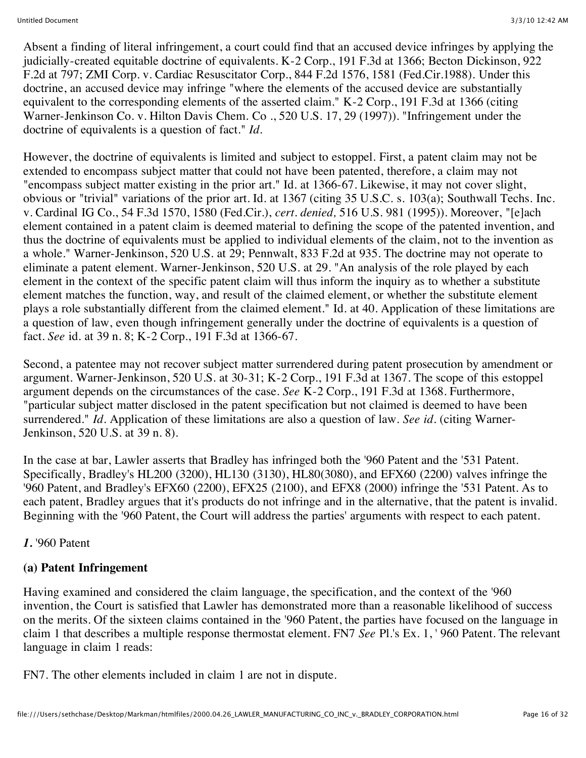Absent a finding of literal infringement, a court could find that an accused device infringes by applying the judicially-created equitable doctrine of equivalents. K-2 Corp., 191 F.3d at 1366; Becton Dickinson, 922 F.2d at 797; ZMI Corp. v. Cardiac Resuscitator Corp., 844 F.2d 1576, 1581 (Fed.Cir.1988). Under this doctrine, an accused device may infringe "where the elements of the accused device are substantially equivalent to the corresponding elements of the asserted claim." K-2 Corp., 191 F.3d at 1366 (citing Warner-Jenkinson Co. v. Hilton Davis Chem. Co ., 520 U.S. 17, 29 (1997)). "Infringement under the doctrine of equivalents is a question of fact." *Id.*

However, the doctrine of equivalents is limited and subject to estoppel. First, a patent claim may not be extended to encompass subject matter that could not have been patented, therefore, a claim may not "encompass subject matter existing in the prior art." Id. at 1366-67. Likewise, it may not cover slight, obvious or "trivial" variations of the prior art. Id. at 1367 (citing 35 U.S.C. s. 103(a); Southwall Techs. Inc. v. Cardinal IG Co., 54 F.3d 1570, 1580 (Fed.Cir.), *cert. denied,* 516 U.S. 981 (1995)). Moreover, "[e]ach element contained in a patent claim is deemed material to defining the scope of the patented invention, and thus the doctrine of equivalents must be applied to individual elements of the claim, not to the invention as a whole." Warner-Jenkinson, 520 U.S. at 29; Pennwalt, 833 F.2d at 935. The doctrine may not operate to eliminate a patent element. Warner-Jenkinson, 520 U.S. at 29. "An analysis of the role played by each element in the context of the specific patent claim will thus inform the inquiry as to whether a substitute element matches the function, way, and result of the claimed element, or whether the substitute element plays a role substantially different from the claimed element." Id. at 40. Application of these limitations are a question of law, even though infringement generally under the doctrine of equivalents is a question of fact. *See* id. at 39 n. 8; K-2 Corp., 191 F.3d at 1366-67.

Second, a patentee may not recover subject matter surrendered during patent prosecution by amendment or argument. Warner-Jenkinson, 520 U.S. at 30-31; K-2 Corp., 191 F.3d at 1367. The scope of this estoppel argument depends on the circumstances of the case. *See* K-2 Corp., 191 F.3d at 1368. Furthermore, "particular subject matter disclosed in the patent specification but not claimed is deemed to have been surrendered." *Id.* Application of these limitations are also a question of law. *See id.* (citing Warner-Jenkinson, 520 U.S. at 39 n. 8).

In the case at bar, Lawler asserts that Bradley has infringed both the '960 Patent and the '531 Patent. Specifically, Bradley's HL200 (3200), HL130 (3130), HL80(3080), and EFX60 (2200) valves infringe the '960 Patent, and Bradley's EFX60 (2200), EFX25 (2100), and EFX8 (2000) infringe the '531 Patent. As to each patent, Bradley argues that it's products do not infringe and in the alternative, that the patent is invalid. Beginning with the '960 Patent, the Court will address the parties' arguments with respect to each patent.

#### *1.* '960 Patent

## **(a) Patent Infringement**

Having examined and considered the claim language, the specification, and the context of the '960 invention, the Court is satisfied that Lawler has demonstrated more than a reasonable likelihood of success on the merits. Of the sixteen claims contained in the '960 Patent, the parties have focused on the language in claim 1 that describes a multiple response thermostat element. FN7 *See* Pl.'s Ex. 1, ' 960 Patent. The relevant language in claim 1 reads:

FN7. The other elements included in claim 1 are not in dispute.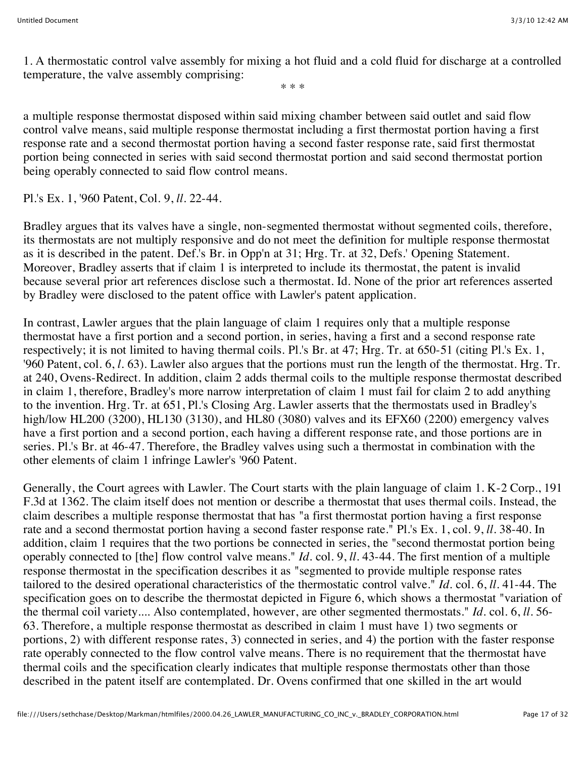1. A thermostatic control valve assembly for mixing a hot fluid and a cold fluid for discharge at a controlled temperature, the valve assembly comprising:

\* \* \*

a multiple response thermostat disposed within said mixing chamber between said outlet and said flow control valve means, said multiple response thermostat including a first thermostat portion having a first response rate and a second thermostat portion having a second faster response rate, said first thermostat portion being connected in series with said second thermostat portion and said second thermostat portion being operably connected to said flow control means.

Pl.'s Ex. 1, '960 Patent, Col. 9, *ll.* 22-44.

Bradley argues that its valves have a single, non-segmented thermostat without segmented coils, therefore, its thermostats are not multiply responsive and do not meet the definition for multiple response thermostat as it is described in the patent. Def.'s Br. in Opp'n at 31; Hrg. Tr. at 32, Defs.' Opening Statement. Moreover, Bradley asserts that if claim 1 is interpreted to include its thermostat, the patent is invalid because several prior art references disclose such a thermostat. Id. None of the prior art references asserted by Bradley were disclosed to the patent office with Lawler's patent application.

In contrast, Lawler argues that the plain language of claim 1 requires only that a multiple response thermostat have a first portion and a second portion, in series, having a first and a second response rate respectively; it is not limited to having thermal coils. Pl.'s Br. at 47; Hrg. Tr. at 650-51 (citing Pl.'s Ex. 1, '960 Patent, col. 6, *l.* 63). Lawler also argues that the portions must run the length of the thermostat. Hrg. Tr. at 240, Ovens-Redirect. In addition, claim 2 adds thermal coils to the multiple response thermostat described in claim 1, therefore, Bradley's more narrow interpretation of claim 1 must fail for claim 2 to add anything to the invention. Hrg. Tr. at 651, Pl.'s Closing Arg. Lawler asserts that the thermostats used in Bradley's high/low HL200 (3200), HL130 (3130), and HL80 (3080) valves and its EFX60 (2200) emergency valves have a first portion and a second portion, each having a different response rate, and those portions are in series. Pl.'s Br. at 46-47. Therefore, the Bradley valves using such a thermostat in combination with the other elements of claim 1 infringe Lawler's '960 Patent.

Generally, the Court agrees with Lawler. The Court starts with the plain language of claim 1. K-2 Corp., 191 F.3d at 1362. The claim itself does not mention or describe a thermostat that uses thermal coils. Instead, the claim describes a multiple response thermostat that has "a first thermostat portion having a first response rate and a second thermostat portion having a second faster response rate." Pl.'s Ex. 1, col. 9, *ll.* 38-40. In addition, claim 1 requires that the two portions be connected in series, the "second thermostat portion being operably connected to [the] flow control valve means." *Id.* col. 9, *ll.* 43-44. The first mention of a multiple response thermostat in the specification describes it as "segmented to provide multiple response rates tailored to the desired operational characteristics of the thermostatic control valve." *Id.* col. 6, *ll.* 41-44. The specification goes on to describe the thermostat depicted in Figure 6, which shows a thermostat "variation of the thermal coil variety.... Also contemplated, however, are other segmented thermostats." *Id.* col. 6, *ll.* 56- 63. Therefore, a multiple response thermostat as described in claim 1 must have 1) two segments or portions, 2) with different response rates, 3) connected in series, and 4) the portion with the faster response rate operably connected to the flow control valve means. There is no requirement that the thermostat have thermal coils and the specification clearly indicates that multiple response thermostats other than those described in the patent itself are contemplated. Dr. Ovens confirmed that one skilled in the art would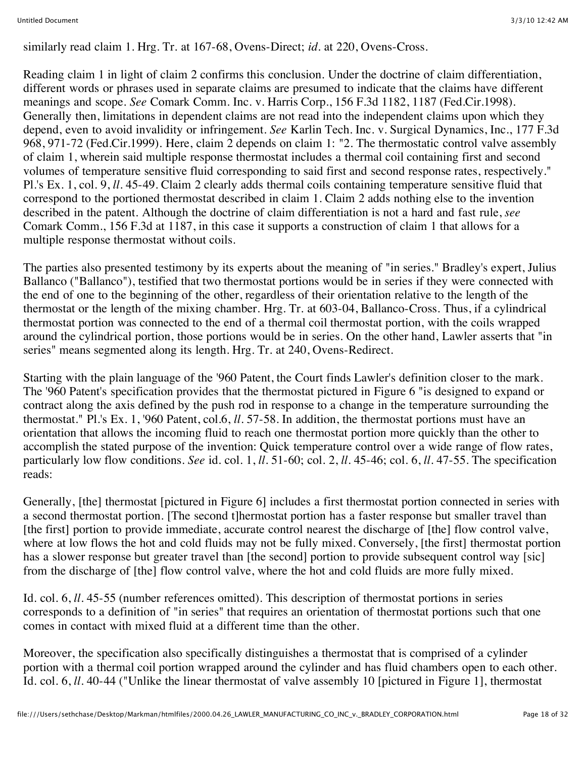similarly read claim 1. Hrg. Tr. at 167-68, Ovens-Direct; *id.* at 220, Ovens-Cross.

Reading claim 1 in light of claim 2 confirms this conclusion. Under the doctrine of claim differentiation, different words or phrases used in separate claims are presumed to indicate that the claims have different meanings and scope. *See* Comark Comm. Inc. v. Harris Corp., 156 F.3d 1182, 1187 (Fed.Cir.1998). Generally then, limitations in dependent claims are not read into the independent claims upon which they depend, even to avoid invalidity or infringement. *See* Karlin Tech. Inc. v. Surgical Dynamics, Inc., 177 F.3d 968, 971-72 (Fed.Cir.1999). Here, claim 2 depends on claim 1: "2. The thermostatic control valve assembly of claim 1, wherein said multiple response thermostat includes a thermal coil containing first and second volumes of temperature sensitive fluid corresponding to said first and second response rates, respectively." Pl.'s Ex. 1, col. 9, *ll.* 45-49. Claim 2 clearly adds thermal coils containing temperature sensitive fluid that correspond to the portioned thermostat described in claim 1. Claim 2 adds nothing else to the invention described in the patent. Although the doctrine of claim differentiation is not a hard and fast rule, *see* Comark Comm., 156 F.3d at 1187, in this case it supports a construction of claim 1 that allows for a multiple response thermostat without coils.

The parties also presented testimony by its experts about the meaning of "in series." Bradley's expert, Julius Ballanco ("Ballanco"), testified that two thermostat portions would be in series if they were connected with the end of one to the beginning of the other, regardless of their orientation relative to the length of the thermostat or the length of the mixing chamber. Hrg. Tr. at 603-04, Ballanco-Cross. Thus, if a cylindrical thermostat portion was connected to the end of a thermal coil thermostat portion, with the coils wrapped around the cylindrical portion, those portions would be in series. On the other hand, Lawler asserts that "in series" means segmented along its length. Hrg. Tr. at 240, Ovens-Redirect.

Starting with the plain language of the '960 Patent, the Court finds Lawler's definition closer to the mark. The '960 Patent's specification provides that the thermostat pictured in Figure 6 "is designed to expand or contract along the axis defined by the push rod in response to a change in the temperature surrounding the thermostat." Pl.'s Ex. 1, '960 Patent, col.6, *ll.* 57-58. In addition, the thermostat portions must have an orientation that allows the incoming fluid to reach one thermostat portion more quickly than the other to accomplish the stated purpose of the invention: Quick temperature control over a wide range of flow rates, particularly low flow conditions. *See* id. col. 1, *ll.* 51-60; col. 2, *ll.* 45-46; col. 6, *ll.* 47-55. The specification reads:

Generally, [the] thermostat [pictured in Figure 6] includes a first thermostat portion connected in series with a second thermostat portion. [The second t]hermostat portion has a faster response but smaller travel than [the first] portion to provide immediate, accurate control nearest the discharge of [the] flow control valve, where at low flows the hot and cold fluids may not be fully mixed. Conversely, [the first] thermostat portion has a slower response but greater travel than [the second] portion to provide subsequent control way [sic] from the discharge of [the] flow control valve, where the hot and cold fluids are more fully mixed.

Id. col. 6, *ll.* 45-55 (number references omitted). This description of thermostat portions in series corresponds to a definition of "in series" that requires an orientation of thermostat portions such that one comes in contact with mixed fluid at a different time than the other.

Moreover, the specification also specifically distinguishes a thermostat that is comprised of a cylinder portion with a thermal coil portion wrapped around the cylinder and has fluid chambers open to each other. Id. col. 6, *ll.* 40-44 ("Unlike the linear thermostat of valve assembly 10 [pictured in Figure 1], thermostat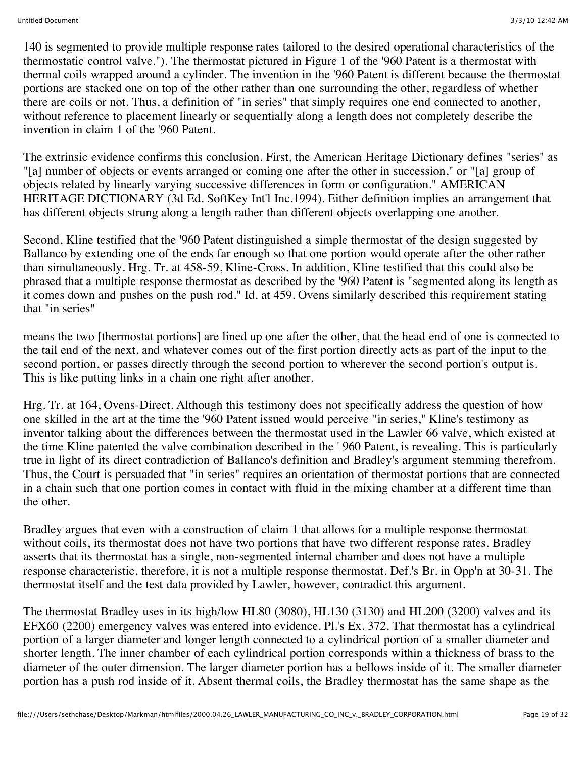140 is segmented to provide multiple response rates tailored to the desired operational characteristics of the thermostatic control valve."). The thermostat pictured in Figure 1 of the '960 Patent is a thermostat with thermal coils wrapped around a cylinder. The invention in the '960 Patent is different because the thermostat portions are stacked one on top of the other rather than one surrounding the other, regardless of whether there are coils or not. Thus, a definition of "in series" that simply requires one end connected to another, without reference to placement linearly or sequentially along a length does not completely describe the invention in claim 1 of the '960 Patent.

The extrinsic evidence confirms this conclusion. First, the American Heritage Dictionary defines "series" as "[a] number of objects or events arranged or coming one after the other in succession," or "[a] group of objects related by linearly varying successive differences in form or configuration." AMERICAN HERITAGE DICTIONARY (3d Ed. SoftKey Int'l Inc.1994). Either definition implies an arrangement that has different objects strung along a length rather than different objects overlapping one another.

Second, Kline testified that the '960 Patent distinguished a simple thermostat of the design suggested by Ballanco by extending one of the ends far enough so that one portion would operate after the other rather than simultaneously. Hrg. Tr. at 458-59, Kline-Cross. In addition, Kline testified that this could also be phrased that a multiple response thermostat as described by the '960 Patent is "segmented along its length as it comes down and pushes on the push rod." Id. at 459. Ovens similarly described this requirement stating that "in series"

means the two [thermostat portions] are lined up one after the other, that the head end of one is connected to the tail end of the next, and whatever comes out of the first portion directly acts as part of the input to the second portion, or passes directly through the second portion to wherever the second portion's output is. This is like putting links in a chain one right after another.

Hrg. Tr. at 164, Ovens-Direct. Although this testimony does not specifically address the question of how one skilled in the art at the time the '960 Patent issued would perceive "in series," Kline's testimony as inventor talking about the differences between the thermostat used in the Lawler 66 valve, which existed at the time Kline patented the valve combination described in the ' 960 Patent, is revealing. This is particularly true in light of its direct contradiction of Ballanco's definition and Bradley's argument stemming therefrom. Thus, the Court is persuaded that "in series" requires an orientation of thermostat portions that are connected in a chain such that one portion comes in contact with fluid in the mixing chamber at a different time than the other.

Bradley argues that even with a construction of claim 1 that allows for a multiple response thermostat without coils, its thermostat does not have two portions that have two different response rates. Bradley asserts that its thermostat has a single, non-segmented internal chamber and does not have a multiple response characteristic, therefore, it is not a multiple response thermostat. Def.'s Br. in Opp'n at 30-31. The thermostat itself and the test data provided by Lawler, however, contradict this argument.

The thermostat Bradley uses in its high/low HL80 (3080), HL130 (3130) and HL200 (3200) valves and its EFX60 (2200) emergency valves was entered into evidence. Pl.'s Ex. 372. That thermostat has a cylindrical portion of a larger diameter and longer length connected to a cylindrical portion of a smaller diameter and shorter length. The inner chamber of each cylindrical portion corresponds within a thickness of brass to the diameter of the outer dimension. The larger diameter portion has a bellows inside of it. The smaller diameter portion has a push rod inside of it. Absent thermal coils, the Bradley thermostat has the same shape as the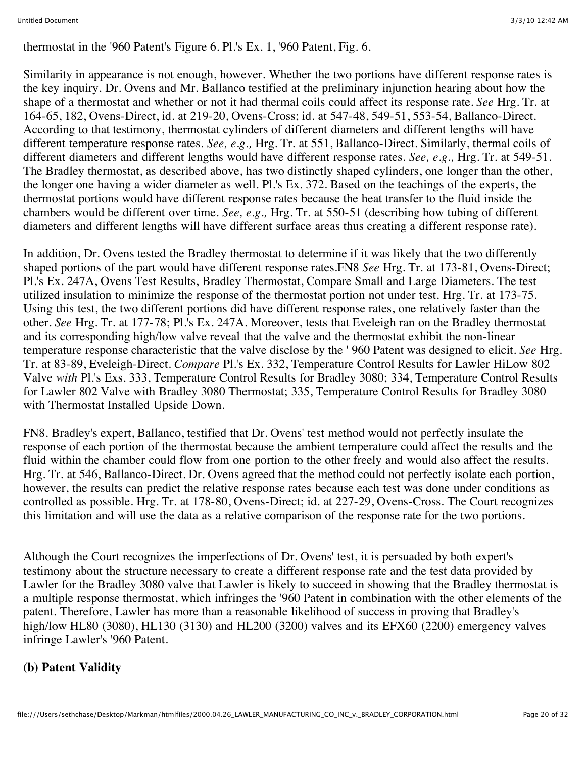thermostat in the '960 Patent's Figure 6. Pl.'s Ex. 1, '960 Patent, Fig. 6.

Similarity in appearance is not enough, however. Whether the two portions have different response rates is the key inquiry. Dr. Ovens and Mr. Ballanco testified at the preliminary injunction hearing about how the shape of a thermostat and whether or not it had thermal coils could affect its response rate. *See* Hrg. Tr. at 164-65, 182, Ovens-Direct, id. at 219-20, Ovens-Cross; id. at 547-48, 549-51, 553-54, Ballanco-Direct. According to that testimony, thermostat cylinders of different diameters and different lengths will have different temperature response rates. *See, e.g.,* Hrg. Tr. at 551, Ballanco-Direct. Similarly, thermal coils of different diameters and different lengths would have different response rates. *See, e.g.,* Hrg. Tr. at 549-51. The Bradley thermostat, as described above, has two distinctly shaped cylinders, one longer than the other, the longer one having a wider diameter as well. Pl.'s Ex. 372. Based on the teachings of the experts, the thermostat portions would have different response rates because the heat transfer to the fluid inside the chambers would be different over time. *See, e.g.,* Hrg. Tr. at 550-51 (describing how tubing of different diameters and different lengths will have different surface areas thus creating a different response rate).

In addition, Dr. Ovens tested the Bradley thermostat to determine if it was likely that the two differently shaped portions of the part would have different response rates.FN8 *See* Hrg. Tr. at 173-81, Ovens-Direct; Pl.'s Ex. 247A, Ovens Test Results, Bradley Thermostat, Compare Small and Large Diameters. The test utilized insulation to minimize the response of the thermostat portion not under test. Hrg. Tr. at 173-75. Using this test, the two different portions did have different response rates, one relatively faster than the other. *See* Hrg. Tr. at 177-78; Pl.'s Ex. 247A. Moreover, tests that Eveleigh ran on the Bradley thermostat and its corresponding high/low valve reveal that the valve and the thermostat exhibit the non-linear temperature response characteristic that the valve disclose by the ' 960 Patent was designed to elicit. *See* Hrg. Tr. at 83-89, Eveleigh-Direct. *Compare* Pl.'s Ex. 332, Temperature Control Results for Lawler HiLow 802 Valve *with* Pl.'s Exs. 333, Temperature Control Results for Bradley 3080; 334, Temperature Control Results for Lawler 802 Valve with Bradley 3080 Thermostat; 335, Temperature Control Results for Bradley 3080 with Thermostat Installed Upside Down.

FN8. Bradley's expert, Ballanco, testified that Dr. Ovens' test method would not perfectly insulate the response of each portion of the thermostat because the ambient temperature could affect the results and the fluid within the chamber could flow from one portion to the other freely and would also affect the results. Hrg. Tr. at 546, Ballanco-Direct. Dr. Ovens agreed that the method could not perfectly isolate each portion, however, the results can predict the relative response rates because each test was done under conditions as controlled as possible. Hrg. Tr. at 178-80, Ovens-Direct; id. at 227-29, Ovens-Cross. The Court recognizes this limitation and will use the data as a relative comparison of the response rate for the two portions.

Although the Court recognizes the imperfections of Dr. Ovens' test, it is persuaded by both expert's testimony about the structure necessary to create a different response rate and the test data provided by Lawler for the Bradley 3080 valve that Lawler is likely to succeed in showing that the Bradley thermostat is a multiple response thermostat, which infringes the '960 Patent in combination with the other elements of the patent. Therefore, Lawler has more than a reasonable likelihood of success in proving that Bradley's high/low HL80 (3080), HL130 (3130) and HL200 (3200) valves and its EFX60 (2200) emergency valves infringe Lawler's '960 Patent.

## **(b) Patent Validity**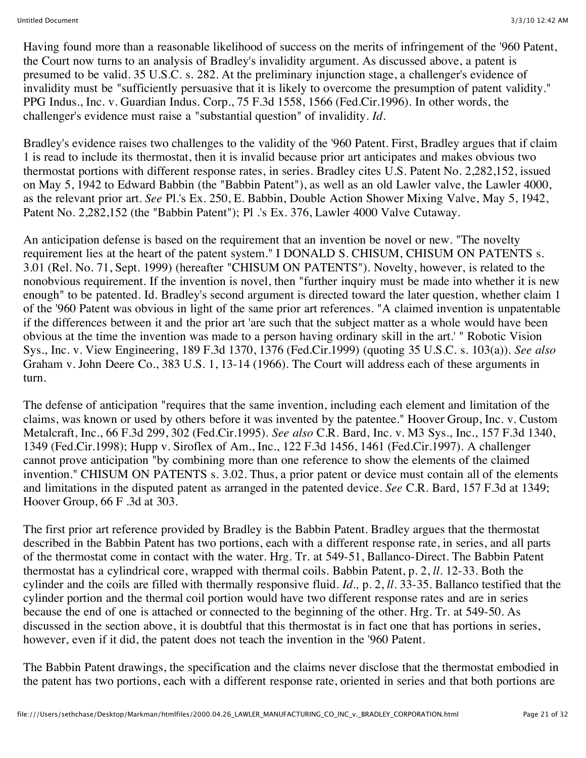Having found more than a reasonable likelihood of success on the merits of infringement of the '960 Patent, the Court now turns to an analysis of Bradley's invalidity argument. As discussed above, a patent is presumed to be valid. 35 U.S.C. s. 282. At the preliminary injunction stage, a challenger's evidence of invalidity must be "sufficiently persuasive that it is likely to overcome the presumption of patent validity." PPG Indus., Inc. v. Guardian Indus. Corp., 75 F.3d 1558, 1566 (Fed.Cir.1996). In other words, the challenger's evidence must raise a "substantial question" of invalidity. *Id.*

Bradley's evidence raises two challenges to the validity of the '960 Patent. First, Bradley argues that if claim 1 is read to include its thermostat, then it is invalid because prior art anticipates and makes obvious two thermostat portions with different response rates, in series. Bradley cites U.S. Patent No. 2,282,152, issued on May 5, 1942 to Edward Babbin (the "Babbin Patent"), as well as an old Lawler valve, the Lawler 4000, as the relevant prior art. *See* Pl.'s Ex. 250, E. Babbin, Double Action Shower Mixing Valve, May 5, 1942, Patent No. 2,282,152 (the "Babbin Patent"); Pl .'s Ex. 376, Lawler 4000 Valve Cutaway.

An anticipation defense is based on the requirement that an invention be novel or new. "The novelty requirement lies at the heart of the patent system." I DONALD S. CHISUM, CHISUM ON PATENTS s. 3.01 (Rel. No. 71, Sept. 1999) (hereafter "CHISUM ON PATENTS"). Novelty, however, is related to the nonobvious requirement. If the invention is novel, then "further inquiry must be made into whether it is new enough" to be patented. Id. Bradley's second argument is directed toward the later question, whether claim 1 of the '960 Patent was obvious in light of the same prior art references. "A claimed invention is unpatentable if the differences between it and the prior art 'are such that the subject matter as a whole would have been obvious at the time the invention was made to a person having ordinary skill in the art.' " Robotic Vision Sys., Inc. v. View Engineering, 189 F.3d 1370, 1376 (Fed.Cir.1999) (quoting 35 U.S.C. s. 103(a)). *See also* Graham v. John Deere Co., 383 U.S. 1, 13-14 (1966). The Court will address each of these arguments in turn.

The defense of anticipation "requires that the same invention, including each element and limitation of the claims, was known or used by others before it was invented by the patentee." Hoover Group, Inc. v. Custom Metalcraft, Inc., 66 F.3d 299, 302 (Fed.Cir.1995). *See also* C.R. Bard, Inc. v. M3 Sys., Inc., 157 F.3d 1340, 1349 (Fed.Cir.1998); Hupp v. Siroflex of Am., Inc., 122 F.3d 1456, 1461 (Fed.Cir.1997). A challenger cannot prove anticipation "by combining more than one reference to show the elements of the claimed invention." CHISUM ON PATENTS s. 3.02. Thus, a prior patent or device must contain all of the elements and limitations in the disputed patent as arranged in the patented device. *See* C.R. Bard, 157 F.3d at 1349; Hoover Group, 66 F .3d at 303.

The first prior art reference provided by Bradley is the Babbin Patent. Bradley argues that the thermostat described in the Babbin Patent has two portions, each with a different response rate, in series, and all parts of the thermostat come in contact with the water. Hrg. Tr. at 549-51, Ballanco-Direct. The Babbin Patent thermostat has a cylindrical core, wrapped with thermal coils. Babbin Patent, p. 2, *ll.* 12-33. Both the cylinder and the coils are filled with thermally responsive fluid. *Id.,* p. 2, *ll.* 33-35. Ballanco testified that the cylinder portion and the thermal coil portion would have two different response rates and are in series because the end of one is attached or connected to the beginning of the other. Hrg. Tr. at 549-50. As discussed in the section above, it is doubtful that this thermostat is in fact one that has portions in series, however, even if it did, the patent does not teach the invention in the '960 Patent.

The Babbin Patent drawings, the specification and the claims never disclose that the thermostat embodied in the patent has two portions, each with a different response rate, oriented in series and that both portions are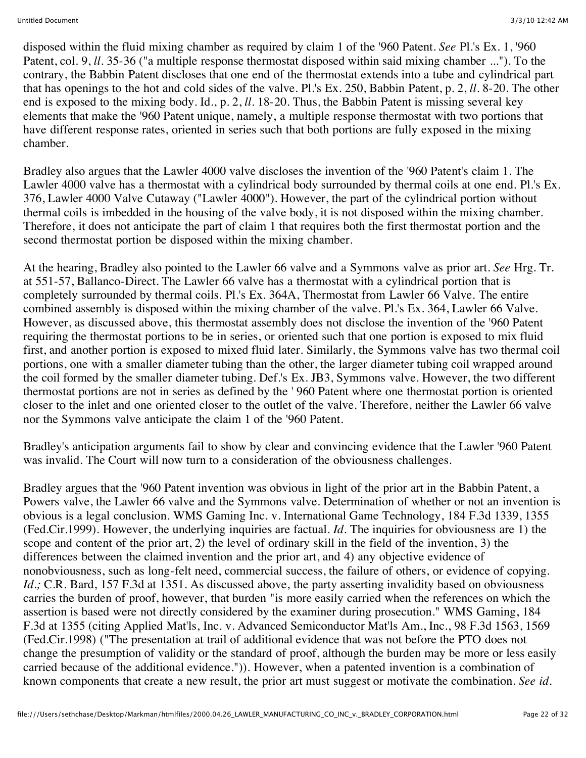disposed within the fluid mixing chamber as required by claim 1 of the '960 Patent. *See* Pl.'s Ex. 1, '960 Patent, col. 9, *ll.* 35-36 ("a multiple response thermostat disposed within said mixing chamber ..."). To the contrary, the Babbin Patent discloses that one end of the thermostat extends into a tube and cylindrical part that has openings to the hot and cold sides of the valve. Pl.'s Ex. 250, Babbin Patent, p. 2, *ll.* 8-20. The other end is exposed to the mixing body. Id., p. 2, *ll.* 18-20. Thus, the Babbin Patent is missing several key elements that make the '960 Patent unique, namely, a multiple response thermostat with two portions that have different response rates, oriented in series such that both portions are fully exposed in the mixing chamber.

Bradley also argues that the Lawler 4000 valve discloses the invention of the '960 Patent's claim 1. The Lawler 4000 valve has a thermostat with a cylindrical body surrounded by thermal coils at one end. Pl.'s Ex. 376, Lawler 4000 Valve Cutaway ("Lawler 4000"). However, the part of the cylindrical portion without thermal coils is imbedded in the housing of the valve body, it is not disposed within the mixing chamber. Therefore, it does not anticipate the part of claim 1 that requires both the first thermostat portion and the second thermostat portion be disposed within the mixing chamber.

At the hearing, Bradley also pointed to the Lawler 66 valve and a Symmons valve as prior art. *See* Hrg. Tr. at 551-57, Ballanco-Direct. The Lawler 66 valve has a thermostat with a cylindrical portion that is completely surrounded by thermal coils. Pl.'s Ex. 364A, Thermostat from Lawler 66 Valve. The entire combined assembly is disposed within the mixing chamber of the valve. Pl.'s Ex. 364, Lawler 66 Valve. However, as discussed above, this thermostat assembly does not disclose the invention of the '960 Patent requiring the thermostat portions to be in series, or oriented such that one portion is exposed to mix fluid first, and another portion is exposed to mixed fluid later. Similarly, the Symmons valve has two thermal coil portions, one with a smaller diameter tubing than the other, the larger diameter tubing coil wrapped around the coil formed by the smaller diameter tubing. Def.'s Ex. JB3, Symmons valve. However, the two different thermostat portions are not in series as defined by the ' 960 Patent where one thermostat portion is oriented closer to the inlet and one oriented closer to the outlet of the valve. Therefore, neither the Lawler 66 valve nor the Symmons valve anticipate the claim 1 of the '960 Patent.

Bradley's anticipation arguments fail to show by clear and convincing evidence that the Lawler '960 Patent was invalid. The Court will now turn to a consideration of the obviousness challenges.

Bradley argues that the '960 Patent invention was obvious in light of the prior art in the Babbin Patent, a Powers valve, the Lawler 66 valve and the Symmons valve. Determination of whether or not an invention is obvious is a legal conclusion. WMS Gaming Inc. v. International Game Technology, 184 F.3d 1339, 1355 (Fed.Cir.1999). However, the underlying inquiries are factual. *Id.* The inquiries for obviousness are 1) the scope and content of the prior art, 2) the level of ordinary skill in the field of the invention, 3) the differences between the claimed invention and the prior art, and 4) any objective evidence of nonobviousness, such as long-felt need, commercial success, the failure of others, or evidence of copying. *Id.*; C.R. Bard, 157 F.3d at 1351. As discussed above, the party asserting invalidity based on obviousness carries the burden of proof, however, that burden "is more easily carried when the references on which the assertion is based were not directly considered by the examiner during prosecution." WMS Gaming, 184 F.3d at 1355 (citing Applied Mat'ls, Inc. v. Advanced Semiconductor Mat'ls Am., Inc., 98 F.3d 1563, 1569 (Fed.Cir.1998) ("The presentation at trail of additional evidence that was not before the PTO does not change the presumption of validity or the standard of proof, although the burden may be more or less easily carried because of the additional evidence.")). However, when a patented invention is a combination of known components that create a new result, the prior art must suggest or motivate the combination. *See id.*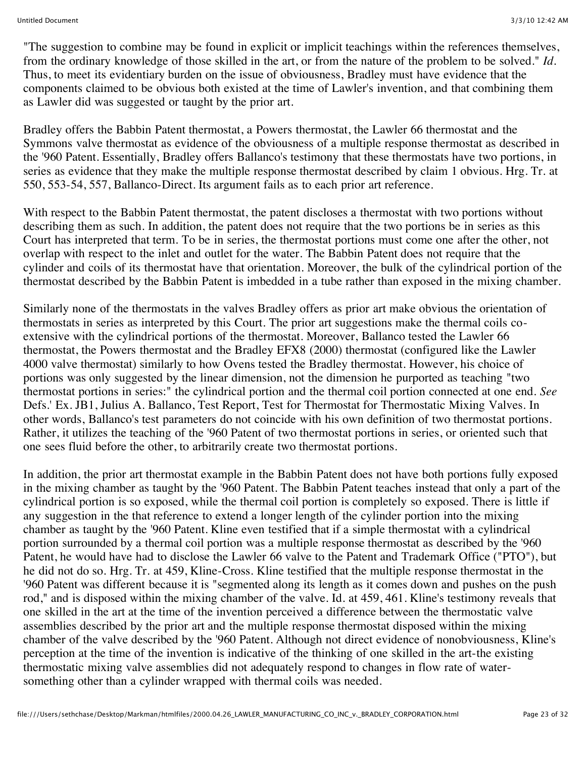"The suggestion to combine may be found in explicit or implicit teachings within the references themselves, from the ordinary knowledge of those skilled in the art, or from the nature of the problem to be solved." *Id.* Thus, to meet its evidentiary burden on the issue of obviousness, Bradley must have evidence that the components claimed to be obvious both existed at the time of Lawler's invention, and that combining them as Lawler did was suggested or taught by the prior art.

Bradley offers the Babbin Patent thermostat, a Powers thermostat, the Lawler 66 thermostat and the Symmons valve thermostat as evidence of the obviousness of a multiple response thermostat as described in the '960 Patent. Essentially, Bradley offers Ballanco's testimony that these thermostats have two portions, in series as evidence that they make the multiple response thermostat described by claim 1 obvious. Hrg. Tr. at 550, 553-54, 557, Ballanco-Direct. Its argument fails as to each prior art reference.

With respect to the Babbin Patent thermostat, the patent discloses a thermostat with two portions without describing them as such. In addition, the patent does not require that the two portions be in series as this Court has interpreted that term. To be in series, the thermostat portions must come one after the other, not overlap with respect to the inlet and outlet for the water. The Babbin Patent does not require that the cylinder and coils of its thermostat have that orientation. Moreover, the bulk of the cylindrical portion of the thermostat described by the Babbin Patent is imbedded in a tube rather than exposed in the mixing chamber.

Similarly none of the thermostats in the valves Bradley offers as prior art make obvious the orientation of thermostats in series as interpreted by this Court. The prior art suggestions make the thermal coils coextensive with the cylindrical portions of the thermostat. Moreover, Ballanco tested the Lawler 66 thermostat, the Powers thermostat and the Bradley EFX8 (2000) thermostat (configured like the Lawler 4000 valve thermostat) similarly to how Ovens tested the Bradley thermostat. However, his choice of portions was only suggested by the linear dimension, not the dimension he purported as teaching "two thermostat portions in series:" the cylindrical portion and the thermal coil portion connected at one end. *See* Defs.' Ex. JB1, Julius A. Ballanco, Test Report, Test for Thermostat for Thermostatic Mixing Valves. In other words, Ballanco's test parameters do not coincide with his own definition of two thermostat portions. Rather, it utilizes the teaching of the '960 Patent of two thermostat portions in series, or oriented such that one sees fluid before the other, to arbitrarily create two thermostat portions.

In addition, the prior art thermostat example in the Babbin Patent does not have both portions fully exposed in the mixing chamber as taught by the '960 Patent. The Babbin Patent teaches instead that only a part of the cylindrical portion is so exposed, while the thermal coil portion is completely so exposed. There is little if any suggestion in the that reference to extend a longer length of the cylinder portion into the mixing chamber as taught by the '960 Patent. Kline even testified that if a simple thermostat with a cylindrical portion surrounded by a thermal coil portion was a multiple response thermostat as described by the '960 Patent, he would have had to disclose the Lawler 66 valve to the Patent and Trademark Office ("PTO"), but he did not do so. Hrg. Tr. at 459, Kline-Cross. Kline testified that the multiple response thermostat in the '960 Patent was different because it is "segmented along its length as it comes down and pushes on the push rod," and is disposed within the mixing chamber of the valve. Id. at 459, 461. Kline's testimony reveals that one skilled in the art at the time of the invention perceived a difference between the thermostatic valve assemblies described by the prior art and the multiple response thermostat disposed within the mixing chamber of the valve described by the '960 Patent. Although not direct evidence of nonobviousness, Kline's perception at the time of the invention is indicative of the thinking of one skilled in the art-the existing thermostatic mixing valve assemblies did not adequately respond to changes in flow rate of watersomething other than a cylinder wrapped with thermal coils was needed.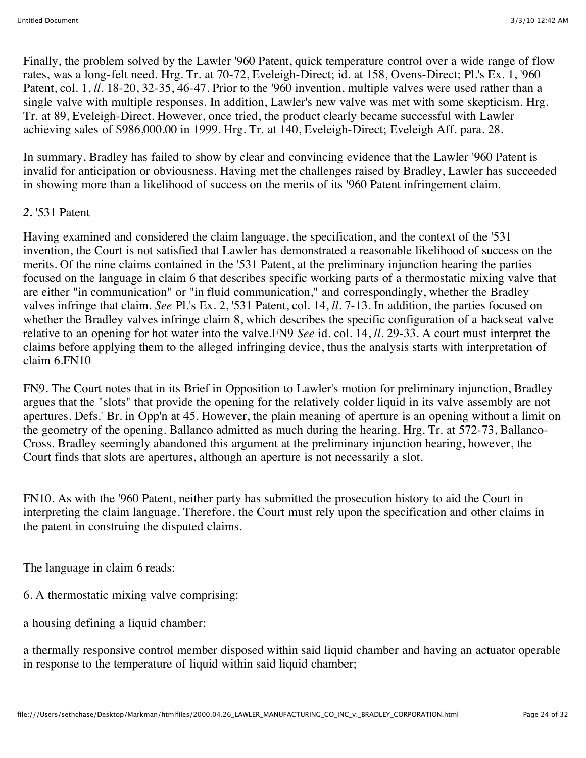Finally, the problem solved by the Lawler '960 Patent, quick temperature control over a wide range of flow rates, was a long-felt need. Hrg. Tr. at 70-72, Eveleigh-Direct; id. at 158, Ovens-Direct; Pl.'s Ex. 1, '960 Patent, col. 1, *ll.* 18-20, 32-35, 46-47. Prior to the '960 invention, multiple valves were used rather than a single valve with multiple responses. In addition, Lawler's new valve was met with some skepticism. Hrg. Tr. at 89, Eveleigh-Direct. However, once tried, the product clearly became successful with Lawler achieving sales of \$986,000.00 in 1999. Hrg. Tr. at 140, Eveleigh-Direct; Eveleigh Aff. para. 28.

In summary, Bradley has failed to show by clear and convincing evidence that the Lawler '960 Patent is invalid for anticipation or obviousness. Having met the challenges raised by Bradley, Lawler has succeeded in showing more than a likelihood of success on the merits of its '960 Patent infringement claim.

#### *2.* '531 Patent

Having examined and considered the claim language, the specification, and the context of the '531 invention, the Court is not satisfied that Lawler has demonstrated a reasonable likelihood of success on the merits. Of the nine claims contained in the '531 Patent, at the preliminary injunction hearing the parties focused on the language in claim 6 that describes specific working parts of a thermostatic mixing valve that are either "in communication" or "in fluid communication," and correspondingly, whether the Bradley valves infringe that claim. *See* Pl.'s Ex. 2, '531 Patent, col. 14, *ll.* 7-13. In addition, the parties focused on whether the Bradley valves infringe claim 8, which describes the specific configuration of a backseat valve relative to an opening for hot water into the valve.FN9 *See* id. col. 14, *ll.* 29-33. A court must interpret the claims before applying them to the alleged infringing device, thus the analysis starts with interpretation of claim 6.FN10

FN9. The Court notes that in its Brief in Opposition to Lawler's motion for preliminary injunction, Bradley argues that the "slots" that provide the opening for the relatively colder liquid in its valve assembly are not apertures. Defs.' Br. in Opp'n at 45. However, the plain meaning of aperture is an opening without a limit on the geometry of the opening. Ballanco admitted as much during the hearing. Hrg. Tr. at 572-73, Ballanco-Cross. Bradley seemingly abandoned this argument at the preliminary injunction hearing, however, the Court finds that slots are apertures, although an aperture is not necessarily a slot.

FN10. As with the '960 Patent, neither party has submitted the prosecution history to aid the Court in interpreting the claim language. Therefore, the Court must rely upon the specification and other claims in the patent in construing the disputed claims.

The language in claim 6 reads:

6. A thermostatic mixing valve comprising:

a housing defining a liquid chamber;

a thermally responsive control member disposed within said liquid chamber and having an actuator operable in response to the temperature of liquid within said liquid chamber;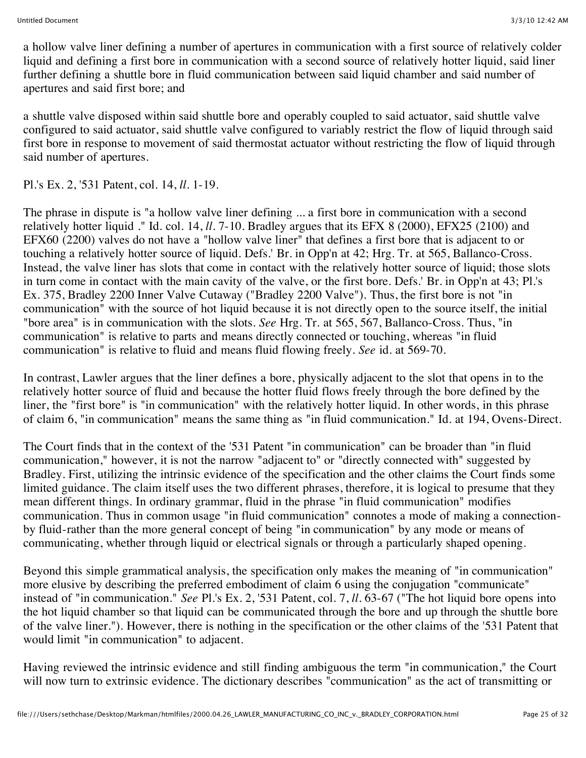a hollow valve liner defining a number of apertures in communication with a first source of relatively colder liquid and defining a first bore in communication with a second source of relatively hotter liquid, said liner further defining a shuttle bore in fluid communication between said liquid chamber and said number of apertures and said first bore; and

a shuttle valve disposed within said shuttle bore and operably coupled to said actuator, said shuttle valve configured to said actuator, said shuttle valve configured to variably restrict the flow of liquid through said first bore in response to movement of said thermostat actuator without restricting the flow of liquid through said number of apertures.

Pl.'s Ex. 2, '531 Patent, col. 14, *ll.* 1-19.

The phrase in dispute is "a hollow valve liner defining ... a first bore in communication with a second relatively hotter liquid ." Id. col. 14, *ll.* 7-10. Bradley argues that its EFX 8 (2000), EFX25 (2100) and EFX60 (2200) valves do not have a "hollow valve liner" that defines a first bore that is adjacent to or touching a relatively hotter source of liquid. Defs.' Br. in Opp'n at 42; Hrg. Tr. at 565, Ballanco-Cross. Instead, the valve liner has slots that come in contact with the relatively hotter source of liquid; those slots in turn come in contact with the main cavity of the valve, or the first bore. Defs.' Br. in Opp'n at 43; Pl.'s Ex. 375, Bradley 2200 Inner Valve Cutaway ("Bradley 2200 Valve"). Thus, the first bore is not "in communication" with the source of hot liquid because it is not directly open to the source itself, the initial "bore area" is in communication with the slots. *See* Hrg. Tr. at 565, 567, Ballanco-Cross. Thus, "in communication" is relative to parts and means directly connected or touching, whereas "in fluid communication" is relative to fluid and means fluid flowing freely. *See* id. at 569-70.

In contrast, Lawler argues that the liner defines a bore, physically adjacent to the slot that opens in to the relatively hotter source of fluid and because the hotter fluid flows freely through the bore defined by the liner, the "first bore" is "in communication" with the relatively hotter liquid. In other words, in this phrase of claim 6, "in communication" means the same thing as "in fluid communication." Id. at 194, Ovens-Direct.

The Court finds that in the context of the '531 Patent "in communication" can be broader than "in fluid communication," however, it is not the narrow "adjacent to" or "directly connected with" suggested by Bradley. First, utilizing the intrinsic evidence of the specification and the other claims the Court finds some limited guidance. The claim itself uses the two different phrases, therefore, it is logical to presume that they mean different things. In ordinary grammar, fluid in the phrase "in fluid communication" modifies communication. Thus in common usage "in fluid communication" connotes a mode of making a connectionby fluid-rather than the more general concept of being "in communication" by any mode or means of communicating, whether through liquid or electrical signals or through a particularly shaped opening.

Beyond this simple grammatical analysis, the specification only makes the meaning of "in communication" more elusive by describing the preferred embodiment of claim 6 using the conjugation "communicate" instead of "in communication." *See* Pl.'s Ex. 2, '531 Patent, col. 7, *ll.* 63-67 ("The hot liquid bore opens into the hot liquid chamber so that liquid can be communicated through the bore and up through the shuttle bore of the valve liner."). However, there is nothing in the specification or the other claims of the '531 Patent that would limit "in communication" to adjacent.

Having reviewed the intrinsic evidence and still finding ambiguous the term "in communication," the Court will now turn to extrinsic evidence. The dictionary describes "communication" as the act of transmitting or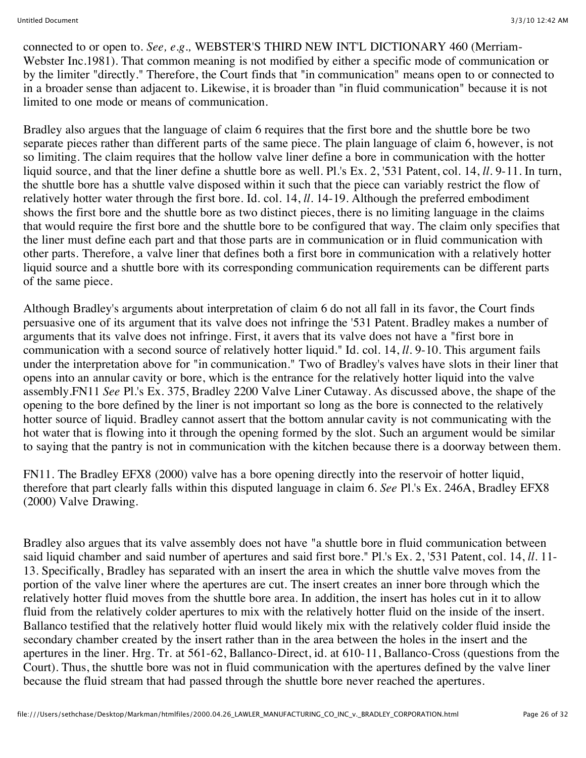connected to or open to. *See, e.g.,* WEBSTER'S THIRD NEW INT'L DICTIONARY 460 (Merriam-Webster Inc.1981). That common meaning is not modified by either a specific mode of communication or by the limiter "directly." Therefore, the Court finds that "in communication" means open to or connected to in a broader sense than adjacent to. Likewise, it is broader than "in fluid communication" because it is not limited to one mode or means of communication.

Bradley also argues that the language of claim 6 requires that the first bore and the shuttle bore be two separate pieces rather than different parts of the same piece. The plain language of claim 6, however, is not so limiting. The claim requires that the hollow valve liner define a bore in communication with the hotter liquid source, and that the liner define a shuttle bore as well. Pl.'s Ex. 2, '531 Patent, col. 14, *ll.* 9-11. In turn, the shuttle bore has a shuttle valve disposed within it such that the piece can variably restrict the flow of relatively hotter water through the first bore. Id. col. 14, *ll.* 14-19. Although the preferred embodiment shows the first bore and the shuttle bore as two distinct pieces, there is no limiting language in the claims that would require the first bore and the shuttle bore to be configured that way. The claim only specifies that the liner must define each part and that those parts are in communication or in fluid communication with other parts. Therefore, a valve liner that defines both a first bore in communication with a relatively hotter liquid source and a shuttle bore with its corresponding communication requirements can be different parts of the same piece.

Although Bradley's arguments about interpretation of claim 6 do not all fall in its favor, the Court finds persuasive one of its argument that its valve does not infringe the '531 Patent. Bradley makes a number of arguments that its valve does not infringe. First, it avers that its valve does not have a "first bore in communication with a second source of relatively hotter liquid." Id. col. 14, *ll.* 9-10. This argument fails under the interpretation above for "in communication." Two of Bradley's valves have slots in their liner that opens into an annular cavity or bore, which is the entrance for the relatively hotter liquid into the valve assembly.FN11 *See* Pl.'s Ex. 375, Bradley 2200 Valve Liner Cutaway. As discussed above, the shape of the opening to the bore defined by the liner is not important so long as the bore is connected to the relatively hotter source of liquid. Bradley cannot assert that the bottom annular cavity is not communicating with the hot water that is flowing into it through the opening formed by the slot. Such an argument would be similar to saying that the pantry is not in communication with the kitchen because there is a doorway between them.

FN11. The Bradley EFX8 (2000) valve has a bore opening directly into the reservoir of hotter liquid, therefore that part clearly falls within this disputed language in claim 6. *See* Pl.'s Ex. 246A, Bradley EFX8 (2000) Valve Drawing.

Bradley also argues that its valve assembly does not have "a shuttle bore in fluid communication between said liquid chamber and said number of apertures and said first bore." Pl.'s Ex. 2, '531 Patent, col. 14, *ll.* 11- 13. Specifically, Bradley has separated with an insert the area in which the shuttle valve moves from the portion of the valve liner where the apertures are cut. The insert creates an inner bore through which the relatively hotter fluid moves from the shuttle bore area. In addition, the insert has holes cut in it to allow fluid from the relatively colder apertures to mix with the relatively hotter fluid on the inside of the insert. Ballanco testified that the relatively hotter fluid would likely mix with the relatively colder fluid inside the secondary chamber created by the insert rather than in the area between the holes in the insert and the apertures in the liner. Hrg. Tr. at 561-62, Ballanco-Direct, id. at 610-11, Ballanco-Cross (questions from the Court). Thus, the shuttle bore was not in fluid communication with the apertures defined by the valve liner because the fluid stream that had passed through the shuttle bore never reached the apertures.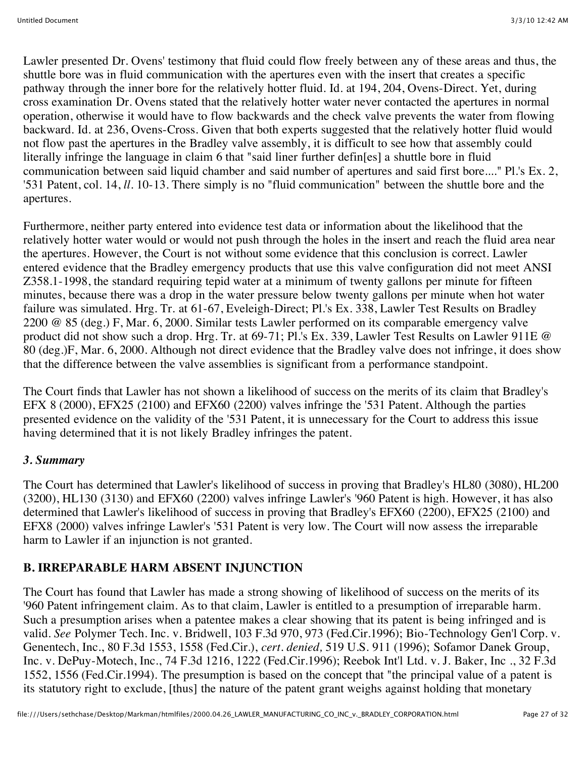Lawler presented Dr. Ovens' testimony that fluid could flow freely between any of these areas and thus, the shuttle bore was in fluid communication with the apertures even with the insert that creates a specific pathway through the inner bore for the relatively hotter fluid. Id. at 194, 204, Ovens-Direct. Yet, during cross examination Dr. Ovens stated that the relatively hotter water never contacted the apertures in normal operation, otherwise it would have to flow backwards and the check valve prevents the water from flowing backward. Id. at 236, Ovens-Cross. Given that both experts suggested that the relatively hotter fluid would not flow past the apertures in the Bradley valve assembly, it is difficult to see how that assembly could literally infringe the language in claim 6 that "said liner further defin[es] a shuttle bore in fluid communication between said liquid chamber and said number of apertures and said first bore...." Pl.'s Ex. 2, '531 Patent, col. 14, *ll.* 10-13. There simply is no "fluid communication" between the shuttle bore and the apertures.

Furthermore, neither party entered into evidence test data or information about the likelihood that the relatively hotter water would or would not push through the holes in the insert and reach the fluid area near the apertures. However, the Court is not without some evidence that this conclusion is correct. Lawler entered evidence that the Bradley emergency products that use this valve configuration did not meet ANSI Z358.1-1998, the standard requiring tepid water at a minimum of twenty gallons per minute for fifteen minutes, because there was a drop in the water pressure below twenty gallons per minute when hot water failure was simulated. Hrg. Tr. at 61-67, Eveleigh-Direct; Pl.'s Ex. 338, Lawler Test Results on Bradley 2200 @ 85 (deg.) F, Mar. 6, 2000. Similar tests Lawler performed on its comparable emergency valve product did not show such a drop. Hrg. Tr. at 69-71; Pl.'s Ex. 339, Lawler Test Results on Lawler 911E @ 80 (deg.)F, Mar. 6, 2000. Although not direct evidence that the Bradley valve does not infringe, it does show that the difference between the valve assemblies is significant from a performance standpoint.

The Court finds that Lawler has not shown a likelihood of success on the merits of its claim that Bradley's EFX 8 (2000), EFX25 (2100) and EFX60 (2200) valves infringe the '531 Patent. Although the parties presented evidence on the validity of the '531 Patent, it is unnecessary for the Court to address this issue having determined that it is not likely Bradley infringes the patent.

## *3. Summary*

The Court has determined that Lawler's likelihood of success in proving that Bradley's HL80 (3080), HL200 (3200), HL130 (3130) and EFX60 (2200) valves infringe Lawler's '960 Patent is high. However, it has also determined that Lawler's likelihood of success in proving that Bradley's EFX60 (2200), EFX25 (2100) and EFX8 (2000) valves infringe Lawler's '531 Patent is very low. The Court will now assess the irreparable harm to Lawler if an injunction is not granted.

## **B. IRREPARABLE HARM ABSENT INJUNCTION**

The Court has found that Lawler has made a strong showing of likelihood of success on the merits of its '960 Patent infringement claim. As to that claim, Lawler is entitled to a presumption of irreparable harm. Such a presumption arises when a patentee makes a clear showing that its patent is being infringed and is valid. *See* Polymer Tech. Inc. v. Bridwell, 103 F.3d 970, 973 (Fed.Cir.1996); Bio-Technology Gen'l Corp. v. Genentech, Inc., 80 F.3d 1553, 1558 (Fed.Cir.), *cert. denied,* 519 U.S. 911 (1996); Sofamor Danek Group, Inc. v. DePuy-Motech, Inc., 74 F.3d 1216, 1222 (Fed.Cir.1996); Reebok Int'l Ltd. v. J. Baker, Inc ., 32 F.3d 1552, 1556 (Fed.Cir.1994). The presumption is based on the concept that "the principal value of a patent is its statutory right to exclude, [thus] the nature of the patent grant weighs against holding that monetary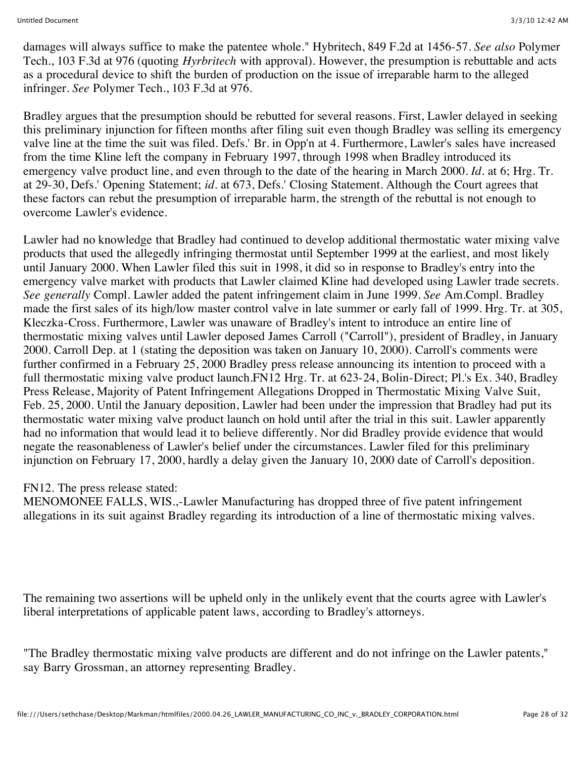damages will always suffice to make the patentee whole." Hybritech, 849 F.2d at 1456-57. *See also* Polymer Tech., 103 F.3d at 976 (quoting *Hyrbritech* with approval). However, the presumption is rebuttable and acts as a procedural device to shift the burden of production on the issue of irreparable harm to the alleged infringer. *See* Polymer Tech., 103 F.3d at 976.

Bradley argues that the presumption should be rebutted for several reasons. First, Lawler delayed in seeking this preliminary injunction for fifteen months after filing suit even though Bradley was selling its emergency valve line at the time the suit was filed. Defs.' Br. in Opp'n at 4. Furthermore, Lawler's sales have increased from the time Kline left the company in February 1997, through 1998 when Bradley introduced its emergency valve product line, and even through to the date of the hearing in March 2000. *Id.* at 6; Hrg. Tr. at 29-30, Defs.' Opening Statement; *id.* at 673, Defs.' Closing Statement. Although the Court agrees that these factors can rebut the presumption of irreparable harm, the strength of the rebuttal is not enough to overcome Lawler's evidence.

Lawler had no knowledge that Bradley had continued to develop additional thermostatic water mixing valve products that used the allegedly infringing thermostat until September 1999 at the earliest, and most likely until January 2000. When Lawler filed this suit in 1998, it did so in response to Bradley's entry into the emergency valve market with products that Lawler claimed Kline had developed using Lawler trade secrets. *See generally* Compl. Lawler added the patent infringement claim in June 1999. *See* Am.Compl. Bradley made the first sales of its high/low master control valve in late summer or early fall of 1999. Hrg. Tr. at 305, Kleczka-Cross. Furthermore, Lawler was unaware of Bradley's intent to introduce an entire line of thermostatic mixing valves until Lawler deposed James Carroll ("Carroll"), president of Bradley, in January 2000. Carroll Dep. at 1 (stating the deposition was taken on January 10, 2000). Carroll's comments were further confirmed in a February 25, 2000 Bradley press release announcing its intention to proceed with a full thermostatic mixing valve product launch.FN12 Hrg. Tr. at 623-24, Bolin-Direct; Pl.'s Ex. 340, Bradley Press Release, Majority of Patent Infringement Allegations Dropped in Thermostatic Mixing Valve Suit, Feb. 25, 2000. Until the January deposition, Lawler had been under the impression that Bradley had put its thermostatic water mixing valve product launch on hold until after the trial in this suit. Lawler apparently had no information that would lead it to believe differently. Nor did Bradley provide evidence that would negate the reasonableness of Lawler's belief under the circumstances. Lawler filed for this preliminary injunction on February 17, 2000, hardly a delay given the January 10, 2000 date of Carroll's deposition.

#### FN12. The press release stated:

MENOMONEE FALLS, WIS.,-Lawler Manufacturing has dropped three of five patent infringement allegations in its suit against Bradley regarding its introduction of a line of thermostatic mixing valves.

The remaining two assertions will be upheld only in the unlikely event that the courts agree with Lawler's liberal interpretations of applicable patent laws, according to Bradley's attorneys.

"The Bradley thermostatic mixing valve products are different and do not infringe on the Lawler patents," say Barry Grossman, an attorney representing Bradley.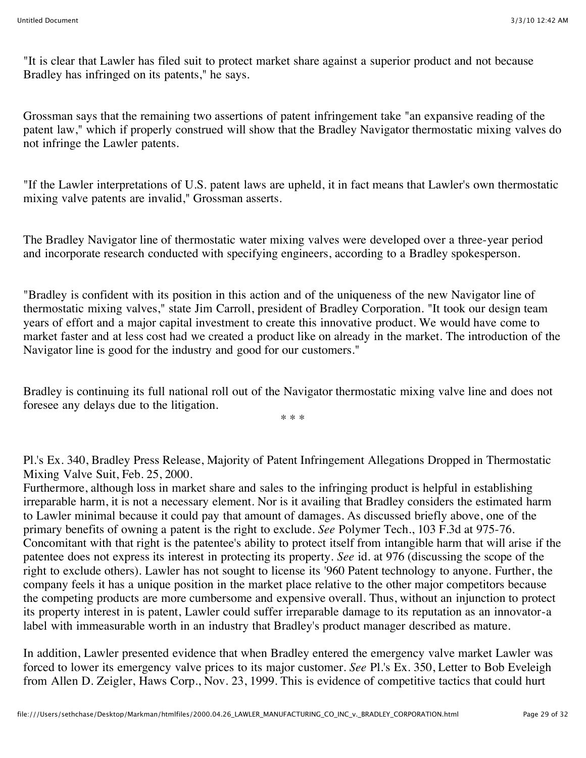"It is clear that Lawler has filed suit to protect market share against a superior product and not because Bradley has infringed on its patents," he says.

Grossman says that the remaining two assertions of patent infringement take "an expansive reading of the patent law," which if properly construed will show that the Bradley Navigator thermostatic mixing valves do not infringe the Lawler patents.

"If the Lawler interpretations of U.S. patent laws are upheld, it in fact means that Lawler's own thermostatic mixing valve patents are invalid," Grossman asserts.

The Bradley Navigator line of thermostatic water mixing valves were developed over a three-year period and incorporate research conducted with specifying engineers, according to a Bradley spokesperson.

"Bradley is confident with its position in this action and of the uniqueness of the new Navigator line of thermostatic mixing valves," state Jim Carroll, president of Bradley Corporation. "It took our design team years of effort and a major capital investment to create this innovative product. We would have come to market faster and at less cost had we created a product like on already in the market. The introduction of the Navigator line is good for the industry and good for our customers."

Bradley is continuing its full national roll out of the Navigator thermostatic mixing valve line and does not foresee any delays due to the litigation.

\* \* \*

Pl.'s Ex. 340, Bradley Press Release, Majority of Patent Infringement Allegations Dropped in Thermostatic Mixing Valve Suit, Feb. 25, 2000.

Furthermore, although loss in market share and sales to the infringing product is helpful in establishing irreparable harm, it is not a necessary element. Nor is it availing that Bradley considers the estimated harm to Lawler minimal because it could pay that amount of damages. As discussed briefly above, one of the primary benefits of owning a patent is the right to exclude. *See* Polymer Tech., 103 F.3d at 975-76. Concomitant with that right is the patentee's ability to protect itself from intangible harm that will arise if the patentee does not express its interest in protecting its property. *See* id. at 976 (discussing the scope of the right to exclude others). Lawler has not sought to license its '960 Patent technology to anyone. Further, the company feels it has a unique position in the market place relative to the other major competitors because the competing products are more cumbersome and expensive overall. Thus, without an injunction to protect its property interest in is patent, Lawler could suffer irreparable damage to its reputation as an innovator-a label with immeasurable worth in an industry that Bradley's product manager described as mature.

In addition, Lawler presented evidence that when Bradley entered the emergency valve market Lawler was forced to lower its emergency valve prices to its major customer. *See* Pl.'s Ex. 350, Letter to Bob Eveleigh from Allen D. Zeigler, Haws Corp., Nov. 23, 1999. This is evidence of competitive tactics that could hurt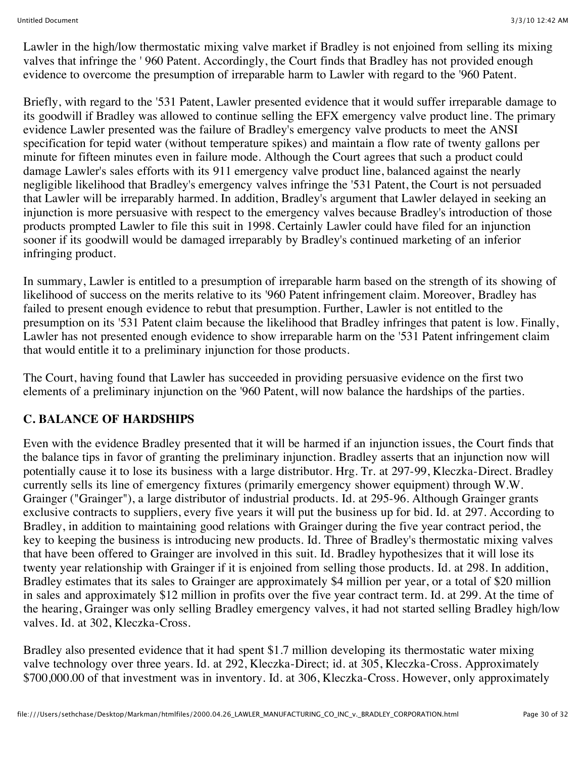Lawler in the high/low thermostatic mixing valve market if Bradley is not enjoined from selling its mixing valves that infringe the ' 960 Patent. Accordingly, the Court finds that Bradley has not provided enough evidence to overcome the presumption of irreparable harm to Lawler with regard to the '960 Patent.

Briefly, with regard to the '531 Patent, Lawler presented evidence that it would suffer irreparable damage to its goodwill if Bradley was allowed to continue selling the EFX emergency valve product line. The primary evidence Lawler presented was the failure of Bradley's emergency valve products to meet the ANSI specification for tepid water (without temperature spikes) and maintain a flow rate of twenty gallons per minute for fifteen minutes even in failure mode. Although the Court agrees that such a product could damage Lawler's sales efforts with its 911 emergency valve product line, balanced against the nearly negligible likelihood that Bradley's emergency valves infringe the '531 Patent, the Court is not persuaded that Lawler will be irreparably harmed. In addition, Bradley's argument that Lawler delayed in seeking an injunction is more persuasive with respect to the emergency valves because Bradley's introduction of those products prompted Lawler to file this suit in 1998. Certainly Lawler could have filed for an injunction sooner if its goodwill would be damaged irreparably by Bradley's continued marketing of an inferior infringing product.

In summary, Lawler is entitled to a presumption of irreparable harm based on the strength of its showing of likelihood of success on the merits relative to its '960 Patent infringement claim. Moreover, Bradley has failed to present enough evidence to rebut that presumption. Further, Lawler is not entitled to the presumption on its '531 Patent claim because the likelihood that Bradley infringes that patent is low. Finally, Lawler has not presented enough evidence to show irreparable harm on the '531 Patent infringement claim that would entitle it to a preliminary injunction for those products.

The Court, having found that Lawler has succeeded in providing persuasive evidence on the first two elements of a preliminary injunction on the '960 Patent, will now balance the hardships of the parties.

## **C. BALANCE OF HARDSHIPS**

Even with the evidence Bradley presented that it will be harmed if an injunction issues, the Court finds that the balance tips in favor of granting the preliminary injunction. Bradley asserts that an injunction now will potentially cause it to lose its business with a large distributor. Hrg. Tr. at 297-99, Kleczka-Direct. Bradley currently sells its line of emergency fixtures (primarily emergency shower equipment) through W.W. Grainger ("Grainger"), a large distributor of industrial products. Id. at 295-96. Although Grainger grants exclusive contracts to suppliers, every five years it will put the business up for bid. Id. at 297. According to Bradley, in addition to maintaining good relations with Grainger during the five year contract period, the key to keeping the business is introducing new products. Id. Three of Bradley's thermostatic mixing valves that have been offered to Grainger are involved in this suit. Id. Bradley hypothesizes that it will lose its twenty year relationship with Grainger if it is enjoined from selling those products. Id. at 298. In addition, Bradley estimates that its sales to Grainger are approximately \$4 million per year, or a total of \$20 million in sales and approximately \$12 million in profits over the five year contract term. Id. at 299. At the time of the hearing, Grainger was only selling Bradley emergency valves, it had not started selling Bradley high/low valves. Id. at 302, Kleczka-Cross.

Bradley also presented evidence that it had spent \$1.7 million developing its thermostatic water mixing valve technology over three years. Id. at 292, Kleczka-Direct; id. at 305, Kleczka-Cross. Approximately \$700,000.00 of that investment was in inventory. Id. at 306, Kleczka-Cross. However, only approximately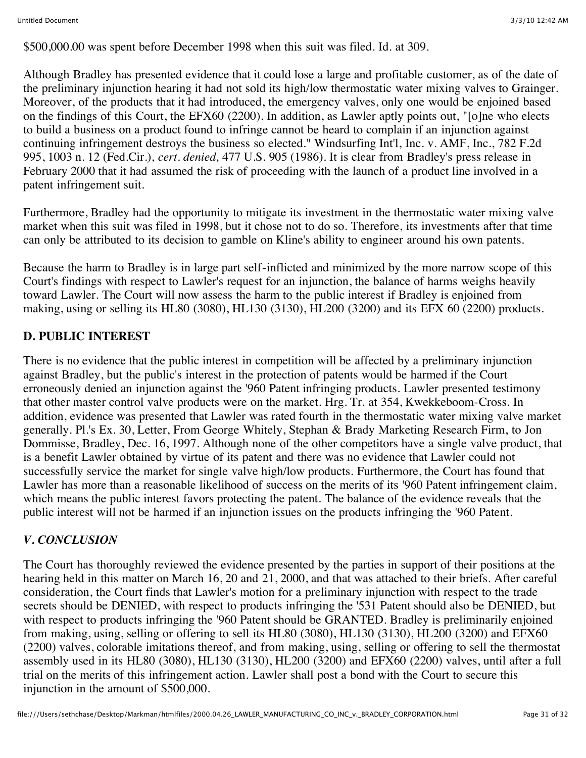\$500,000.00 was spent before December 1998 when this suit was filed. Id. at 309.

Although Bradley has presented evidence that it could lose a large and profitable customer, as of the date of the preliminary injunction hearing it had not sold its high/low thermostatic water mixing valves to Grainger. Moreover, of the products that it had introduced, the emergency valves, only one would be enjoined based on the findings of this Court, the EFX60 (2200). In addition, as Lawler aptly points out, "[o]ne who elects to build a business on a product found to infringe cannot be heard to complain if an injunction against continuing infringement destroys the business so elected." Windsurfing Int'l, Inc. v. AMF, Inc., 782 F.2d 995, 1003 n. 12 (Fed.Cir.), *cert. denied,* 477 U.S. 905 (1986). It is clear from Bradley's press release in February 2000 that it had assumed the risk of proceeding with the launch of a product line involved in a patent infringement suit.

Furthermore, Bradley had the opportunity to mitigate its investment in the thermostatic water mixing valve market when this suit was filed in 1998, but it chose not to do so. Therefore, its investments after that time can only be attributed to its decision to gamble on Kline's ability to engineer around his own patents.

Because the harm to Bradley is in large part self-inflicted and minimized by the more narrow scope of this Court's findings with respect to Lawler's request for an injunction, the balance of harms weighs heavily toward Lawler. The Court will now assess the harm to the public interest if Bradley is enjoined from making, using or selling its HL80 (3080), HL130 (3130), HL200 (3200) and its EFX 60 (2200) products.

## **D. PUBLIC INTEREST**

There is no evidence that the public interest in competition will be affected by a preliminary injunction against Bradley, but the public's interest in the protection of patents would be harmed if the Court erroneously denied an injunction against the '960 Patent infringing products. Lawler presented testimony that other master control valve products were on the market. Hrg. Tr. at 354, Kwekkeboom-Cross. In addition, evidence was presented that Lawler was rated fourth in the thermostatic water mixing valve market generally. Pl.'s Ex. 30, Letter, From George Whitely, Stephan & Brady Marketing Research Firm, to Jon Dommisse, Bradley, Dec. 16, 1997. Although none of the other competitors have a single valve product, that is a benefit Lawler obtained by virtue of its patent and there was no evidence that Lawler could not successfully service the market for single valve high/low products. Furthermore, the Court has found that Lawler has more than a reasonable likelihood of success on the merits of its '960 Patent infringement claim, which means the public interest favors protecting the patent. The balance of the evidence reveals that the public interest will not be harmed if an injunction issues on the products infringing the '960 Patent.

## *V. CONCLUSION*

The Court has thoroughly reviewed the evidence presented by the parties in support of their positions at the hearing held in this matter on March 16, 20 and 21, 2000, and that was attached to their briefs. After careful consideration, the Court finds that Lawler's motion for a preliminary injunction with respect to the trade secrets should be DENIED, with respect to products infringing the '531 Patent should also be DENIED, but with respect to products infringing the '960 Patent should be GRANTED. Bradley is preliminarily enjoined from making, using, selling or offering to sell its HL80 (3080), HL130 (3130), HL200 (3200) and EFX60 (2200) valves, colorable imitations thereof, and from making, using, selling or offering to sell the thermostat assembly used in its HL80 (3080), HL130 (3130), HL200 (3200) and EFX60 (2200) valves, until after a full trial on the merits of this infringement action. Lawler shall post a bond with the Court to secure this injunction in the amount of \$500,000.